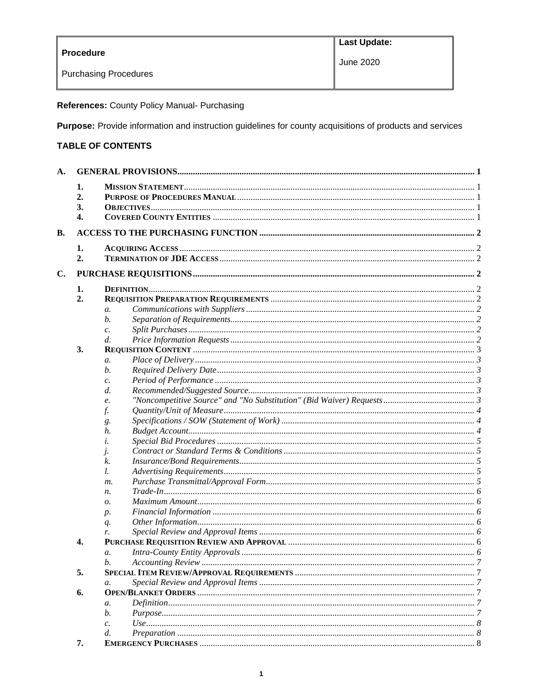|                              | <b>Last Update:</b> |
|------------------------------|---------------------|
| <b>Procedure</b>             | June 2020           |
| <b>Purchasing Procedures</b> |                     |

References: County Policy Manual- Purchasing

Purpose: Provide information and instruction guidelines for county acquisitions of products and services

# **TABLE OF CONTENTS**

| A.        |    |                  |  |  |  |
|-----------|----|------------------|--|--|--|
|           | 1. |                  |  |  |  |
|           | 2. |                  |  |  |  |
|           | 3. |                  |  |  |  |
|           | 4. |                  |  |  |  |
| <b>B.</b> |    |                  |  |  |  |
|           | 1. |                  |  |  |  |
|           | 2. |                  |  |  |  |
| C.        |    |                  |  |  |  |
|           |    |                  |  |  |  |
| 1.<br>2.  |    |                  |  |  |  |
|           |    | $\mathfrak{a}.$  |  |  |  |
|           |    | b.               |  |  |  |
|           |    |                  |  |  |  |
|           |    | c.<br>d.         |  |  |  |
|           | 3. |                  |  |  |  |
|           |    |                  |  |  |  |
|           |    | a.               |  |  |  |
|           |    | b.               |  |  |  |
|           |    | c.               |  |  |  |
|           |    | d.               |  |  |  |
|           |    | e.               |  |  |  |
|           |    | f.               |  |  |  |
|           |    | g.               |  |  |  |
|           |    | h.               |  |  |  |
|           |    | i.               |  |  |  |
|           |    | $\mathcal{I}$ .  |  |  |  |
|           |    | k.               |  |  |  |
|           |    | l.               |  |  |  |
|           |    | m.               |  |  |  |
|           |    | п.               |  |  |  |
|           |    | 0.               |  |  |  |
|           |    | $p$ .            |  |  |  |
|           |    | $q_{\cdot}$      |  |  |  |
|           |    | r.               |  |  |  |
|           | 4. |                  |  |  |  |
|           |    | $\mathfrak{a}.$  |  |  |  |
|           |    | b.               |  |  |  |
|           | 5. |                  |  |  |  |
|           |    | a.               |  |  |  |
|           | 6. |                  |  |  |  |
|           |    | a.               |  |  |  |
|           |    | b.               |  |  |  |
|           |    | $\overline{c}$ . |  |  |  |
|           |    | d.               |  |  |  |
|           | 7. |                  |  |  |  |
|           |    |                  |  |  |  |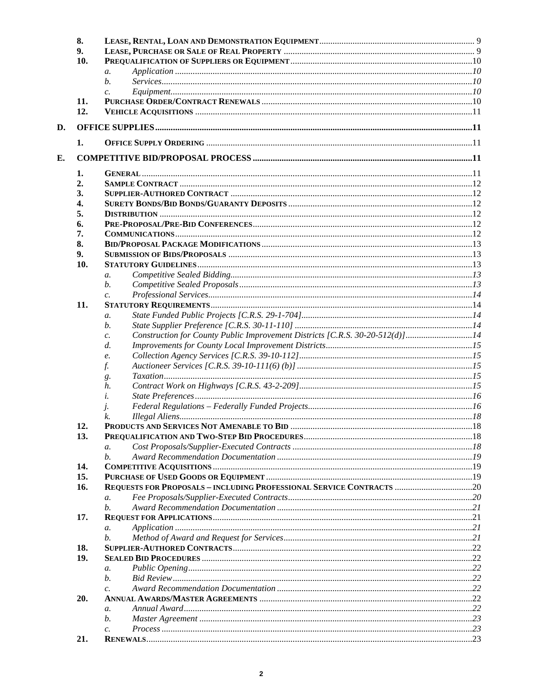|    | 8.       |                                                                                    |  |
|----|----------|------------------------------------------------------------------------------------|--|
| 9. |          |                                                                                    |  |
|    | 10.      |                                                                                    |  |
|    |          | $\mathfrak{a}.$                                                                    |  |
|    |          | b.                                                                                 |  |
|    |          | $\mathcal{C}$ .                                                                    |  |
|    | 11.      |                                                                                    |  |
|    | 12.      |                                                                                    |  |
| D. |          |                                                                                    |  |
|    | 1.       |                                                                                    |  |
|    |          |                                                                                    |  |
| Е. |          |                                                                                    |  |
|    | 1.<br>2. |                                                                                    |  |
|    |          |                                                                                    |  |
|    | 3.       |                                                                                    |  |
|    | 4.       |                                                                                    |  |
|    | 5.       |                                                                                    |  |
|    | 6.       |                                                                                    |  |
|    | 7.       |                                                                                    |  |
|    | 8.       |                                                                                    |  |
|    | 9.       |                                                                                    |  |
|    | 10.      |                                                                                    |  |
|    |          | $\mathfrak{a}$ .                                                                   |  |
|    |          | b.                                                                                 |  |
|    |          | $\mathcal{C}$ .                                                                    |  |
|    | 11.      |                                                                                    |  |
|    |          | $\mathfrak{a}.$                                                                    |  |
|    |          | b.                                                                                 |  |
|    |          | Construction for County Public Improvement Districts [C.R.S. 30-20-512(d)]14<br>c. |  |
|    |          | $d$ .                                                                              |  |
|    |          | e.                                                                                 |  |
|    |          | f.                                                                                 |  |
|    |          | g.                                                                                 |  |
|    |          | h.                                                                                 |  |
|    |          | i.                                                                                 |  |
|    |          |                                                                                    |  |
|    |          | $\mathbf{I}$<br>k.                                                                 |  |
|    |          |                                                                                    |  |
|    | 12.      |                                                                                    |  |
|    | 13.      |                                                                                    |  |
|    |          | $\mathfrak{a}.$                                                                    |  |
|    |          | b.                                                                                 |  |
|    | 14.      |                                                                                    |  |
|    | 15.      |                                                                                    |  |
|    | 16.      |                                                                                    |  |
|    |          | $\mathfrak{a}$ .                                                                   |  |
|    |          | b.                                                                                 |  |
|    | 17.      |                                                                                    |  |
|    |          | a.                                                                                 |  |
|    |          | b.                                                                                 |  |
|    | 18.      |                                                                                    |  |
|    | 19.      |                                                                                    |  |
|    |          | $\mathfrak{a}.$                                                                    |  |
|    |          | b.                                                                                 |  |
|    |          | $\overline{c}$ .                                                                   |  |
|    | 20.      |                                                                                    |  |
|    |          | $\mathfrak{a}.$                                                                    |  |
|    |          | b.                                                                                 |  |
|    |          |                                                                                    |  |
|    | 21.      | $\mathcal{C}$ .                                                                    |  |
|    |          |                                                                                    |  |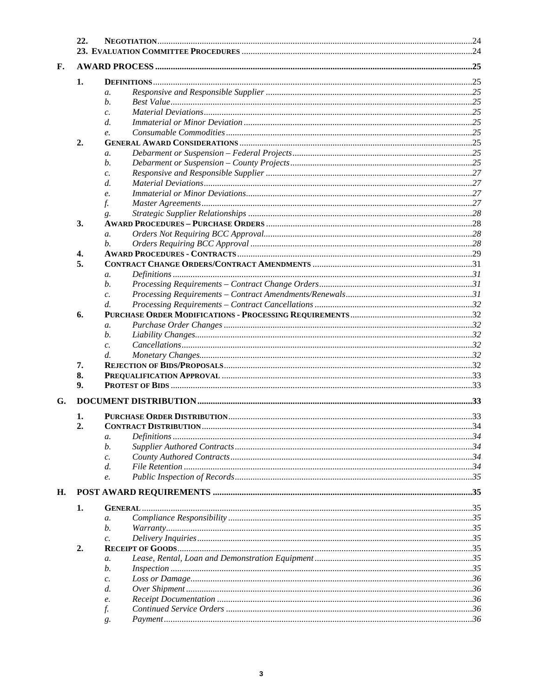| 22. |    |                 |  |  |
|-----|----|-----------------|--|--|
| F.  |    |                 |  |  |
|     |    |                 |  |  |
|     | 1. |                 |  |  |
|     |    | $\mathfrak{a}.$ |  |  |
|     |    | b.              |  |  |
|     |    | $\mathcal{C}$ . |  |  |
|     |    | d.              |  |  |
|     |    | $\mathbf{e}$ .  |  |  |
|     | 2. |                 |  |  |
|     |    | a.              |  |  |
|     |    | b.              |  |  |
|     |    | $\mathcal{C}$ . |  |  |
|     |    | d.              |  |  |
|     |    | e.              |  |  |
|     |    | f.              |  |  |
|     |    | g.              |  |  |
|     | 3. |                 |  |  |
|     |    | $\mathfrak{a}.$ |  |  |
|     |    | b.              |  |  |
|     | 4. |                 |  |  |
|     | 5. |                 |  |  |
|     |    | a.              |  |  |
|     |    | b.              |  |  |
|     |    | $\mathcal{C}$ . |  |  |
|     |    | d.              |  |  |
|     | 6. |                 |  |  |
|     |    | $\mathfrak{a}.$ |  |  |
|     |    | b.              |  |  |
|     |    | c.              |  |  |
|     |    | $d$ .           |  |  |
|     | 7. |                 |  |  |
|     | 8. |                 |  |  |
|     | 9. |                 |  |  |
| G.  |    |                 |  |  |
|     |    |                 |  |  |
|     | 1. |                 |  |  |
|     | 2. |                 |  |  |
|     |    | a.              |  |  |
|     |    | b.              |  |  |
|     |    | $\mathcal{C}$ . |  |  |
|     |    | d.              |  |  |
|     |    | e.              |  |  |
| H.  |    |                 |  |  |
|     | 1. |                 |  |  |
|     |    | $\mathfrak{a}.$ |  |  |
|     |    | b.              |  |  |
|     |    | $\mathcal{C}$ . |  |  |
|     | 2. |                 |  |  |
|     |    | a.              |  |  |
|     |    | b.              |  |  |
|     |    | c.              |  |  |
|     |    | d.              |  |  |
|     |    | e.              |  |  |
|     |    | f.              |  |  |
|     |    | g.              |  |  |
|     |    |                 |  |  |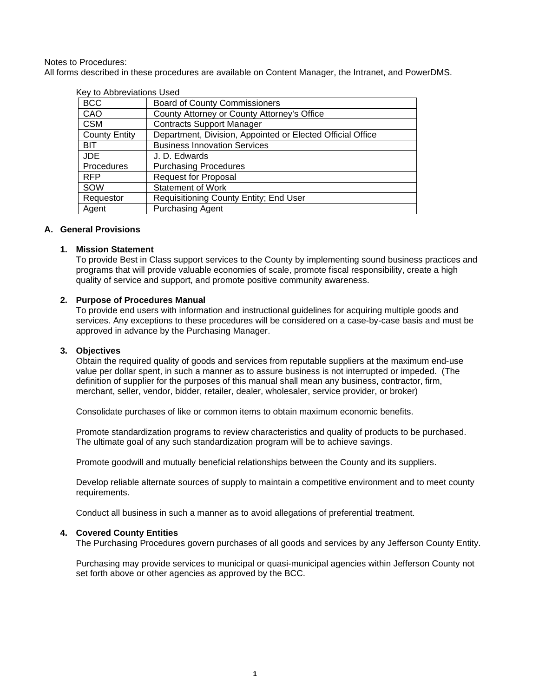#### Notes to Procedures:

All forms described in these procedures are available on Content Manager, the Intranet, and PowerDMS.

| <u>sey tu Abbibidio is Oseu</u> |                                                            |  |
|---------------------------------|------------------------------------------------------------|--|
| <b>BCC</b>                      | <b>Board of County Commissioners</b>                       |  |
| CAO                             | County Attorney or County Attorney's Office                |  |
| <b>CSM</b>                      | <b>Contracts Support Manager</b>                           |  |
| <b>County Entity</b>            | Department, Division, Appointed or Elected Official Office |  |
| <b>BIT</b>                      | <b>Business Innovation Services</b>                        |  |
| <b>JDE</b>                      | J. D. Edwards                                              |  |
| <b>Procedures</b>               | <b>Purchasing Procedures</b>                               |  |
| <b>RFP</b>                      | <b>Request for Proposal</b>                                |  |
| SOW                             | <b>Statement of Work</b>                                   |  |
| Requestor                       | Requisitioning County Entity; End User                     |  |
| Agent                           | <b>Purchasing Agent</b>                                    |  |

#### Key to Abbreviations Used

## <span id="page-3-0"></span>**A. General Provisions**

#### <span id="page-3-1"></span>**1. Mission Statement**

To provide Best in Class support services to the County by implementing sound business practices and programs that will provide valuable economies of scale, promote fiscal responsibility, create a high quality of service and support, and promote positive community awareness.

#### <span id="page-3-2"></span>**2. Purpose of Procedures Manual**

To provide end users with information and instructional guidelines for acquiring multiple goods and services. Any exceptions to these procedures will be considered on a case-by-case basis and must be approved in advance by the Purchasing Manager.

### <span id="page-3-3"></span>**3. Objectives**

Obtain the required quality of goods and services from reputable suppliers at the maximum end-use value per dollar spent, in such a manner as to assure business is not interrupted or impeded. (The definition of supplier for the purposes of this manual shall mean any business, contractor, firm, merchant, seller, vendor, bidder, retailer, dealer, wholesaler, service provider, or broker)

Consolidate purchases of like or common items to obtain maximum economic benefits.

Promote standardization programs to review characteristics and quality of products to be purchased. The ultimate goal of any such standardization program will be to achieve savings.

Promote goodwill and mutually beneficial relationships between the County and its suppliers.

Develop reliable alternate sources of supply to maintain a competitive environment and to meet county requirements.

Conduct all business in such a manner as to avoid allegations of preferential treatment.

## <span id="page-3-4"></span>**4. Covered County Entities**

The Purchasing Procedures govern purchases of all goods and services by any Jefferson County Entity.

Purchasing may provide services to municipal or quasi-municipal agencies within Jefferson County not set forth above or other agencies as approved by the BCC.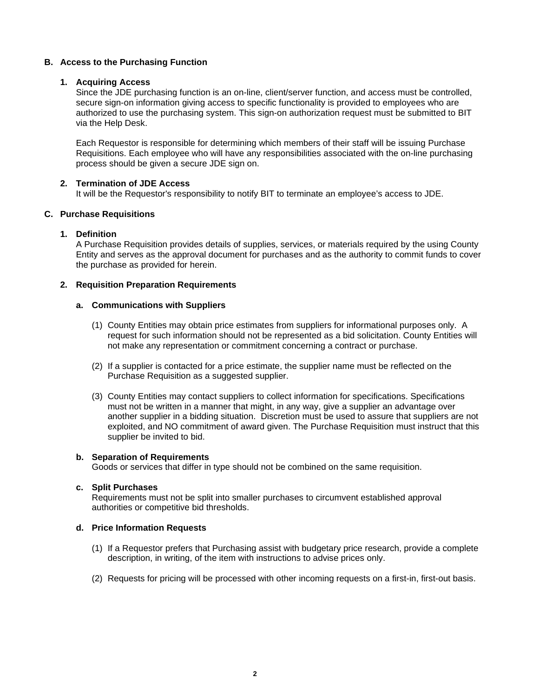## <span id="page-4-0"></span>**B. Access to the Purchasing Function**

## <span id="page-4-1"></span>**1. Acquiring Access**

Since the JDE purchasing function is an on-line, client/server function, and access must be controlled, secure sign-on information giving access to specific functionality is provided to employees who are authorized to use the purchasing system. This sign-on authorization request must be submitted to BIT via the Help Desk.

Each Requestor is responsible for determining which members of their staff will be issuing Purchase Requisitions. Each employee who will have any responsibilities associated with the on-line purchasing process should be given a secure JDE sign on.

## <span id="page-4-2"></span>**2. Termination of JDE Access**

It will be the Requestor's responsibility to notify BIT to terminate an employee's access to JDE.

## <span id="page-4-3"></span>**C. Purchase Requisitions**

## <span id="page-4-4"></span>**1. Definition**

A Purchase Requisition provides details of supplies, services, or materials required by the using County Entity and serves as the approval document for purchases and as the authority to commit funds to cover the purchase as provided for herein.

## <span id="page-4-6"></span><span id="page-4-5"></span>**2. Requisition Preparation Requirements**

## **a. Communications with Suppliers**

- (1) County Entities may obtain price estimates from suppliers for informational purposes only. A request for such information should not be represented as a bid solicitation. County Entities will not make any representation or commitment concerning a contract or purchase.
- (2) If a supplier is contacted for a price estimate, the supplier name must be reflected on the Purchase Requisition as a suggested supplier.
- (3) County Entities may contact suppliers to collect information for specifications. Specifications must not be written in a manner that might, in any way, give a supplier an advantage over another supplier in a bidding situation. Discretion must be used to assure that suppliers are not exploited, and NO commitment of award given. The Purchase Requisition must instruct that this supplier be invited to bid.

## <span id="page-4-7"></span>**b. Separation of Requirements**

Goods or services that differ in type should not be combined on the same requisition.

## <span id="page-4-8"></span>**c. Split Purchases**

Requirements must not be split into smaller purchases to circumvent established approval authorities or competitive bid thresholds.

## <span id="page-4-9"></span>**d. Price Information Requests**

- (1) If a Requestor prefers that Purchasing assist with budgetary price research, provide a complete description, in writing, of the item with instructions to advise prices only.
- (2) Requests for pricing will be processed with other incoming requests on a first-in, first-out basis.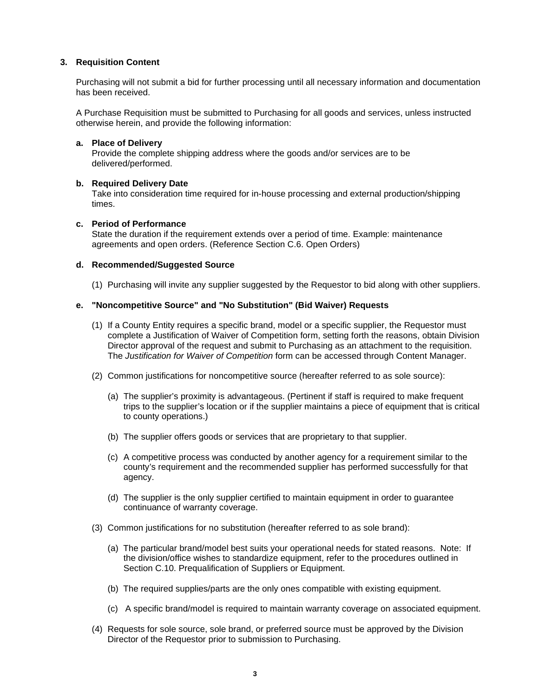## <span id="page-5-0"></span>**3. Requisition Content**

Purchasing will not submit a bid for further processing until all necessary information and documentation has been received.

A Purchase Requisition must be submitted to Purchasing for all goods and services, unless instructed otherwise herein, and provide the following information:

## <span id="page-5-1"></span>**a. Place of Delivery**

Provide the complete shipping address where the goods and/or services are to be delivered/performed.

## <span id="page-5-2"></span>**b. Required Delivery Date**

Take into consideration time required for in-house processing and external production/shipping times.

## <span id="page-5-3"></span>**c. Period of Performance**

State the duration if the requirement extends over a period of time. Example: maintenance agreements and open orders. (Reference Section C.6. Open Orders)

## <span id="page-5-4"></span>**d. Recommended/Suggested Source**

(1) Purchasing will invite any supplier suggested by the Requestor to bid along with other suppliers.

## <span id="page-5-5"></span>**e. "Noncompetitive Source" and "No Substitution" (Bid Waiver) Requests**

- (1) If a County Entity requires a specific brand, model or a specific supplier, the Requestor must complete a Justification of Waiver of Competition form, setting forth the reasons, obtain Division Director approval of the request and submit to Purchasing as an attachment to the requisition. The *Justification for Waiver of Competition* form can be accessed through Content Manager.
- (2) Common justifications for noncompetitive source (hereafter referred to as sole source):
	- (a) The supplier's proximity is advantageous. (Pertinent if staff is required to make frequent trips to the supplier's location or if the supplier maintains a piece of equipment that is critical to county operations.)
	- (b) The supplier offers goods or services that are proprietary to that supplier.
	- (c) A competitive process was conducted by another agency for a requirement similar to the county's requirement and the recommended supplier has performed successfully for that agency.
	- (d) The supplier is the only supplier certified to maintain equipment in order to guarantee continuance of warranty coverage.
- (3) Common justifications for no substitution (hereafter referred to as sole brand):
	- (a) The particular brand/model best suits your operational needs for stated reasons. Note: If the division/office wishes to standardize equipment, refer to the procedures outlined in Section C.10. Prequalification of Suppliers or Equipment.
	- (b) The required supplies/parts are the only ones compatible with existing equipment.
	- (c) A specific brand/model is required to maintain warranty coverage on associated equipment.
- (4) Requests for sole source, sole brand, or preferred source must be approved by the Division Director of the Requestor prior to submission to Purchasing.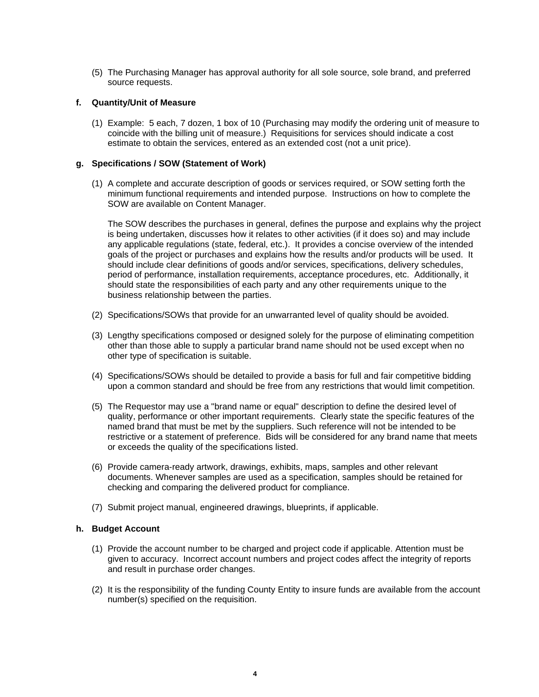(5) The Purchasing Manager has approval authority for all sole source, sole brand, and preferred source requests.

#### <span id="page-6-0"></span>**f. Quantity/Unit of Measure**

(1) Example: 5 each, 7 dozen, 1 box of 10 (Purchasing may modify the ordering unit of measure to coincide with the billing unit of measure.) Requisitions for services should indicate a cost estimate to obtain the services, entered as an extended cost (not a unit price).

### <span id="page-6-1"></span>**g. Specifications / SOW (Statement of Work)**

(1) A complete and accurate description of goods or services required, or SOW setting forth the minimum functional requirements and intended purpose. Instructions on how to complete the SOW are available on Content Manager.

The SOW describes the purchases in general, defines the purpose and explains why the project is being undertaken, discusses how it relates to other activities (if it does so) and may include any applicable regulations (state, federal, etc.). It provides a concise overview of the intended goals of the project or purchases and explains how the results and/or products will be used. It should include clear definitions of goods and/or services, specifications, delivery schedules, period of performance, installation requirements, acceptance procedures, etc. Additionally, it should state the responsibilities of each party and any other requirements unique to the business relationship between the parties.

- (2) Specifications/SOWs that provide for an unwarranted level of quality should be avoided.
- (3) Lengthy specifications composed or designed solely for the purpose of eliminating competition other than those able to supply a particular brand name should not be used except when no other type of specification is suitable.
- (4) Specifications/SOWs should be detailed to provide a basis for full and fair competitive bidding upon a common standard and should be free from any restrictions that would limit competition.
- (5) The Requestor may use a "brand name or equal" description to define the desired level of quality, performance or other important requirements. Clearly state the specific features of the named brand that must be met by the suppliers. Such reference will not be intended to be restrictive or a statement of preference. Bids will be considered for any brand name that meets or exceeds the quality of the specifications listed.
- (6) Provide camera-ready artwork, drawings, exhibits, maps, samples and other relevant documents. Whenever samples are used as a specification, samples should be retained for checking and comparing the delivered product for compliance.
- (7) Submit project manual, engineered drawings, blueprints, if applicable.

### <span id="page-6-2"></span>**h. Budget Account**

- (1) Provide the account number to be charged and project code if applicable. Attention must be given to accuracy. Incorrect account numbers and project codes affect the integrity of reports and result in purchase order changes.
- (2) It is the responsibility of the funding County Entity to insure funds are available from the account number(s) specified on the requisition.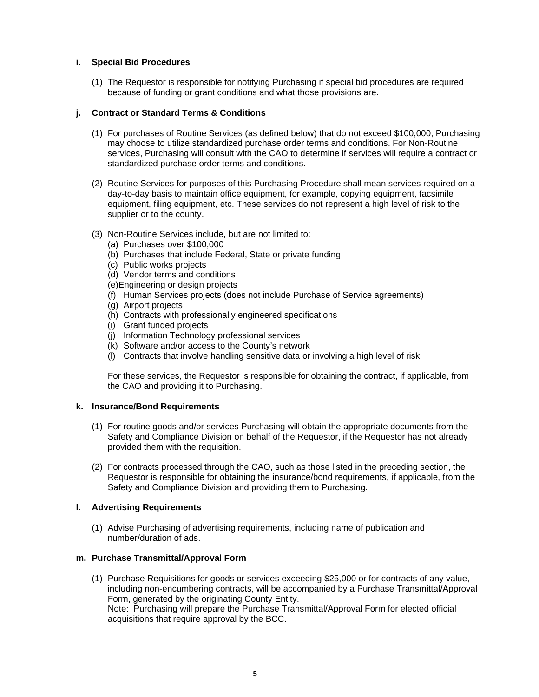## <span id="page-7-0"></span>**i. Special Bid Procedures**

(1) The Requestor is responsible for notifying Purchasing if special bid procedures are required because of funding or grant conditions and what those provisions are.

## <span id="page-7-1"></span>**j. Contract or Standard Terms & Conditions**

- (1) For purchases of Routine Services (as defined below) that do not exceed \$100,000, Purchasing may choose to utilize standardized purchase order terms and conditions. For Non-Routine services, Purchasing will consult with the CAO to determine if services will require a contract or standardized purchase order terms and conditions.
- (2) Routine Services for purposes of this Purchasing Procedure shall mean services required on a day-to-day basis to maintain office equipment, for example, copying equipment, facsimile equipment, filing equipment, etc. These services do not represent a high level of risk to the supplier or to the county.
- (3) Non-Routine Services include, but are not limited to:
	- (a) Purchases over \$100,000
	- (b) Purchases that include Federal, State or private funding
	- (c) Public works projects
	- (d) Vendor terms and conditions
	- (e)Engineering or design projects
	- (f) Human Services projects (does not include Purchase of Service agreements)
	- (g) Airport projects
	- (h) Contracts with professionally engineered specifications
	- (i) Grant funded projects
	- (j) Information Technology professional services
	- (k) Software and/or access to the County's network
	- (l) Contracts that involve handling sensitive data or involving a high level of risk

For these services, the Requestor is responsible for obtaining the contract, if applicable, from the CAO and providing it to Purchasing.

## <span id="page-7-2"></span>**k. Insurance/Bond Requirements**

- (1) For routine goods and/or services Purchasing will obtain the appropriate documents from the Safety and Compliance Division on behalf of the Requestor, if the Requestor has not already provided them with the requisition.
- (2) For contracts processed through the CAO, such as those listed in the preceding section, the Requestor is responsible for obtaining the insurance/bond requirements, if applicable, from the Safety and Compliance Division and providing them to Purchasing.

## <span id="page-7-3"></span>**l. Advertising Requirements**

(1) Advise Purchasing of advertising requirements, including name of publication and number/duration of ads.

## <span id="page-7-4"></span>**m. Purchase Transmittal/Approval Form**

(1) Purchase Requisitions for goods or services exceeding \$25,000 or for contracts of any value, including non-encumbering contracts, will be accompanied by a Purchase Transmittal/Approval Form, generated by the originating County Entity. Note: Purchasing will prepare the Purchase Transmittal/Approval Form for elected official acquisitions that require approval by the BCC.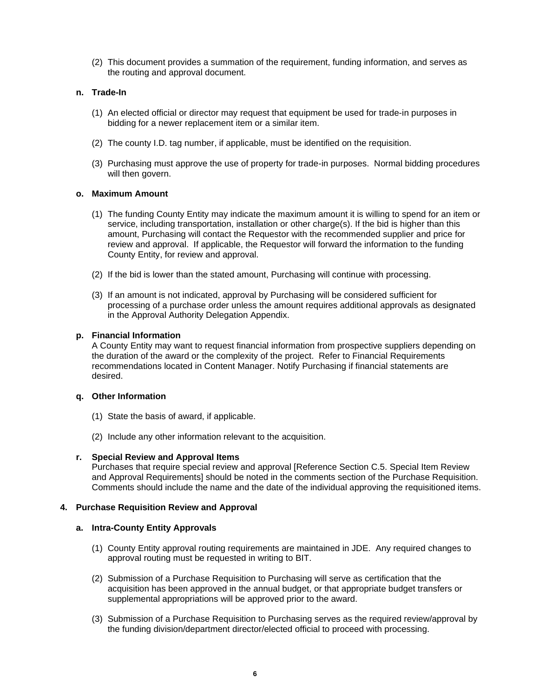(2) This document provides a summation of the requirement, funding information, and serves as the routing and approval document.

## <span id="page-8-0"></span>**n. Trade-In**

- (1) An elected official or director may request that equipment be used for trade-in purposes in bidding for a newer replacement item or a similar item.
- (2) The county I.D. tag number, if applicable, must be identified on the requisition.
- (3) Purchasing must approve the use of property for trade-in purposes. Normal bidding procedures will then govern.

#### <span id="page-8-1"></span>**o. Maximum Amount**

- (1) The funding County Entity may indicate the maximum amount it is willing to spend for an item or service, including transportation, installation or other charge(s). If the bid is higher than this amount, Purchasing will contact the Requestor with the recommended supplier and price for review and approval. If applicable, the Requestor will forward the information to the funding County Entity, for review and approval.
- (2) If the bid is lower than the stated amount, Purchasing will continue with processing.
- (3) If an amount is not indicated, approval by Purchasing will be considered sufficient for processing of a purchase order unless the amount requires additional approvals as designated in the Approval Authority Delegation Appendix.

#### <span id="page-8-2"></span>**p. Financial Information**

A County Entity may want to request financial information from prospective suppliers depending on the duration of the award or the complexity of the project. Refer to Financial Requirements recommendations located in Content Manager. Notify Purchasing if financial statements are desired.

#### <span id="page-8-3"></span>**q. Other Information**

- (1) State the basis of award, if applicable.
- (2) Include any other information relevant to the acquisition.

#### <span id="page-8-4"></span>**r. Special Review and Approval Items**

Purchases that require special review and approval [Reference Section C.5. Special Item Review and Approval Requirements] should be noted in the comments section of the Purchase Requisition. Comments should include the name and the date of the individual approving the requisitioned items.

### <span id="page-8-6"></span><span id="page-8-5"></span>**4. Purchase Requisition Review and Approval**

#### **a. Intra-County Entity Approvals**

- (1) County Entity approval routing requirements are maintained in JDE. Any required changes to approval routing must be requested in writing to BIT.
- (2) Submission of a Purchase Requisition to Purchasing will serve as certification that the acquisition has been approved in the annual budget, or that appropriate budget transfers or supplemental appropriations will be approved prior to the award.
- (3) Submission of a Purchase Requisition to Purchasing serves as the required review/approval by the funding division/department director/elected official to proceed with processing.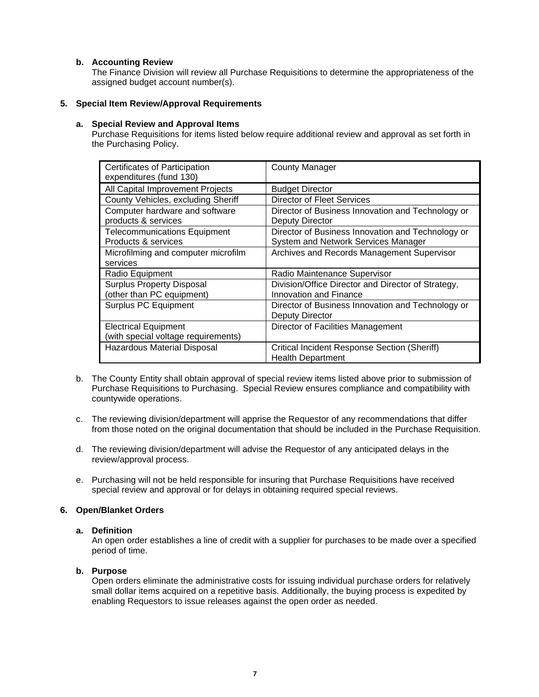## <span id="page-9-0"></span>**b. Accounting Review**

The Finance Division will review all Purchase Requisitions to determine the appropriateness of the assigned budget account number(s).

## <span id="page-9-2"></span><span id="page-9-1"></span>**5. Special Item Review/Approval Requirements**

## **a. Special Review and Approval Items**

Purchase Requisitions for items listed below require additional review and approval as set forth in the Purchasing Policy.

| Certificates of Participation<br>expenditures (fund 130)           | <b>County Manager</b>                                                                    |
|--------------------------------------------------------------------|------------------------------------------------------------------------------------------|
| All Capital Improvement Projects                                   | <b>Budget Director</b>                                                                   |
| County Vehicles, excluding Sheriff                                 | <b>Director of Fleet Services</b>                                                        |
| Computer hardware and software<br>products & services              | Director of Business Innovation and Technology or<br>Deputy Director                     |
| <b>Telecommunications Equipment</b><br>Products & services         | Director of Business Innovation and Technology or<br>System and Network Services Manager |
| Microfilming and computer microfilm<br>services                    | Archives and Records Management Supervisor                                               |
| Radio Equipment                                                    | Radio Maintenance Supervisor                                                             |
| <b>Surplus Property Disposal</b><br>(other than PC equipment)      | Division/Office Director and Director of Strategy,<br>Innovation and Finance             |
| Surplus PC Equipment                                               | Director of Business Innovation and Technology or<br>Deputy Director                     |
| <b>Electrical Equipment</b><br>(with special voltage requirements) | Director of Facilities Management                                                        |
| Hazardous Material Disposal                                        | <b>Critical Incident Response Section (Sheriff)</b><br><b>Health Department</b>          |

- b. The County Entity shall obtain approval of special review items listed above prior to submission of Purchase Requisitions to Purchasing. Special Review ensures compliance and compatibility with countywide operations.
- c. The reviewing division/department will apprise the Requestor of any recommendations that differ from those noted on the original documentation that should be included in the Purchase Requisition.
- d. The reviewing division/department will advise the Requestor of any anticipated delays in the review/approval process.
- e. Purchasing will not be held responsible for insuring that Purchase Requisitions have received special review and approval or for delays in obtaining required special reviews.

## <span id="page-9-4"></span><span id="page-9-3"></span>**6. Open/Blanket Orders**

## **a. Definition**

An open order establishes a line of credit with a supplier for purchases to be made over a specified period of time.

## <span id="page-9-5"></span>**b. Purpose**

Open orders eliminate the administrative costs for issuing individual purchase orders for relatively small dollar items acquired on a repetitive basis. Additionally, the buying process is expedited by enabling Requestors to issue releases against the open order as needed.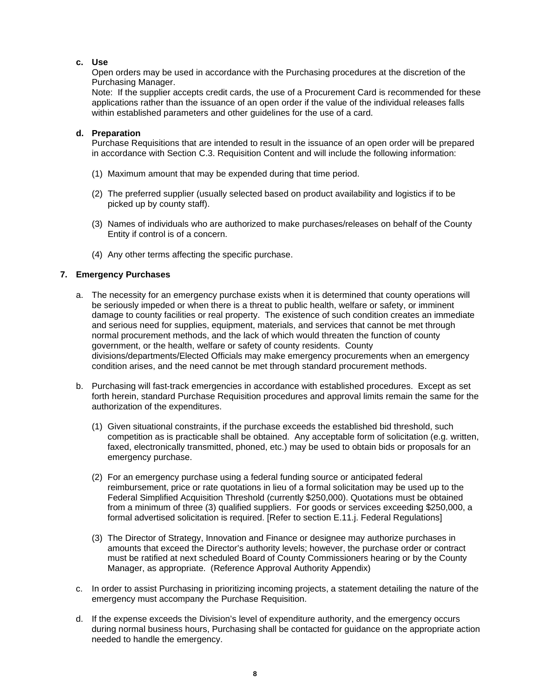## <span id="page-10-0"></span>**c. Use**

Open orders may be used in accordance with the Purchasing procedures at the discretion of the Purchasing Manager.

Note: If the supplier accepts credit cards, the use of a Procurement Card is recommended for these applications rather than the issuance of an open order if the value of the individual releases falls within established parameters and other guidelines for the use of a card.

## <span id="page-10-1"></span>**d. Preparation**

Purchase Requisitions that are intended to result in the issuance of an open order will be prepared in accordance with Section C.3. Requisition Content and will include the following information:

- (1) Maximum amount that may be expended during that time period.
- (2) The preferred supplier (usually selected based on product availability and logistics if to be picked up by county staff).
- (3) Names of individuals who are authorized to make purchases/releases on behalf of the County Entity if control is of a concern.
- (4) Any other terms affecting the specific purchase.

## <span id="page-10-2"></span>**7. Emergency Purchases**

- a. The necessity for an emergency purchase exists when it is determined that county operations will be seriously impeded or when there is a threat to public health, welfare or safety, or imminent damage to county facilities or real property. The existence of such condition creates an immediate and serious need for supplies, equipment, materials, and services that cannot be met through normal procurement methods, and the lack of which would threaten the function of county government, or the health, welfare or safety of county residents. County divisions/departments/Elected Officials may make emergency procurements when an emergency condition arises, and the need cannot be met through standard procurement methods.
- b. Purchasing will fast-track emergencies in accordance with established procedures. Except as set forth herein, standard Purchase Requisition procedures and approval limits remain the same for the authorization of the expenditures.
	- (1) Given situational constraints, if the purchase exceeds the established bid threshold, such competition as is practicable shall be obtained. Any acceptable form of solicitation (e.g. written, faxed, electronically transmitted, phoned, etc.) may be used to obtain bids or proposals for an emergency purchase.
	- (2) For an emergency purchase using a federal funding source or anticipated federal reimbursement, price or rate quotations in lieu of a formal solicitation may be used up to the Federal Simplified Acquisition Threshold (currently \$250,000). Quotations must be obtained from a minimum of three (3) qualified suppliers. For goods or services exceeding \$250,000, a formal advertised solicitation is required. [Refer to section E.11.j. Federal Regulations]
	- (3) The Director of Strategy, Innovation and Finance or designee may authorize purchases in amounts that exceed the Director's authority levels; however, the purchase order or contract must be ratified at next scheduled Board of County Commissioners hearing or by the County Manager, as appropriate. (Reference Approval Authority Appendix)
- c. In order to assist Purchasing in prioritizing incoming projects, a statement detailing the nature of the emergency must accompany the Purchase Requisition.
- d. If the expense exceeds the Division's level of expenditure authority, and the emergency occurs during normal business hours, Purchasing shall be contacted for guidance on the appropriate action needed to handle the emergency.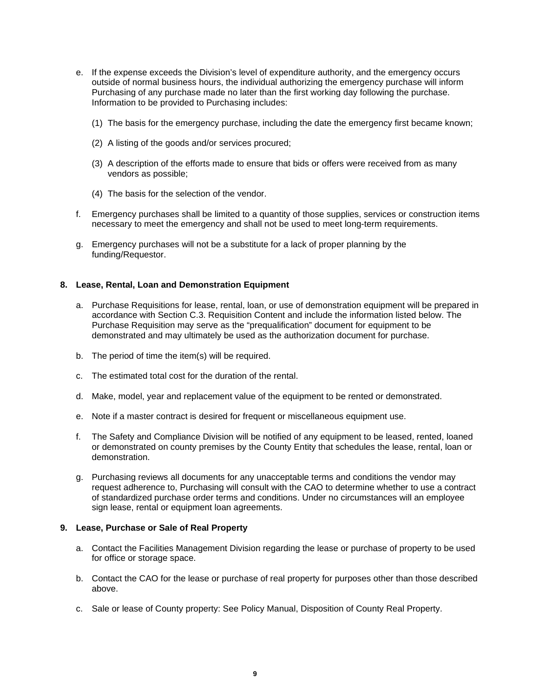- e. If the expense exceeds the Division's level of expenditure authority, and the emergency occurs outside of normal business hours, the individual authorizing the emergency purchase will inform Purchasing of any purchase made no later than the first working day following the purchase. Information to be provided to Purchasing includes:
	- (1) The basis for the emergency purchase, including the date the emergency first became known;
	- (2) A listing of the goods and/or services procured;
	- (3) A description of the efforts made to ensure that bids or offers were received from as many vendors as possible;
	- (4) The basis for the selection of the vendor.
- f. Emergency purchases shall be limited to a quantity of those supplies, services or construction items necessary to meet the emergency and shall not be used to meet long-term requirements.
- g. Emergency purchases will not be a substitute for a lack of proper planning by the funding/Requestor.

### <span id="page-11-0"></span>**8. Lease, Rental, Loan and Demonstration Equipment**

- a. Purchase Requisitions for lease, rental, loan, or use of demonstration equipment will be prepared in accordance with Section C.3. Requisition Content and include the information listed below. The Purchase Requisition may serve as the "prequalification" document for equipment to be demonstrated and may ultimately be used as the authorization document for purchase.
- b. The period of time the item(s) will be required.
- c. The estimated total cost for the duration of the rental.
- d. Make, model, year and replacement value of the equipment to be rented or demonstrated.
- e. Note if a master contract is desired for frequent or miscellaneous equipment use.
- f. The Safety and Compliance Division will be notified of any equipment to be leased, rented, loaned or demonstrated on county premises by the County Entity that schedules the lease, rental, loan or demonstration.
- g. Purchasing reviews all documents for any unacceptable terms and conditions the vendor may request adherence to, Purchasing will consult with the CAO to determine whether to use a contract of standardized purchase order terms and conditions. Under no circumstances will an employee sign lease, rental or equipment loan agreements.

#### <span id="page-11-1"></span>**9. Lease, Purchase or Sale of Real Property**

- a. Contact the Facilities Management Division regarding the lease or purchase of property to be used for office or storage space.
- b. Contact the CAO for the lease or purchase of real property for purposes other than those described above.
- c. Sale or lease of County property: See Policy Manual, Disposition of County Real Property.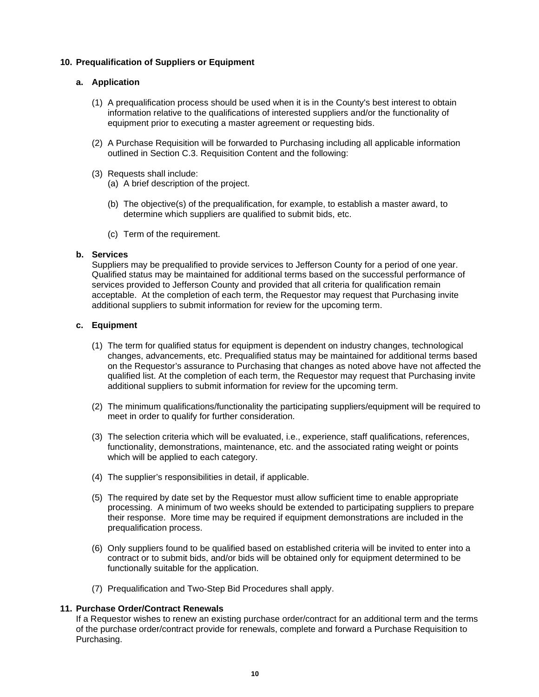## <span id="page-12-1"></span><span id="page-12-0"></span>**10. Prequalification of Suppliers or Equipment**

## **a. Application**

- (1) A prequalification process should be used when it is in the County's best interest to obtain information relative to the qualifications of interested suppliers and/or the functionality of equipment prior to executing a master agreement or requesting bids.
- (2) A Purchase Requisition will be forwarded to Purchasing including all applicable information outlined in Section C.3. Requisition Content and the following:
- (3) Requests shall include:
	- (a) A brief description of the project.
	- (b) The objective(s) of the prequalification, for example, to establish a master award, to determine which suppliers are qualified to submit bids, etc.
	- (c) Term of the requirement.

## <span id="page-12-2"></span>**b. Services**

Suppliers may be prequalified to provide services to Jefferson County for a period of one year. Qualified status may be maintained for additional terms based on the successful performance of services provided to Jefferson County and provided that all criteria for qualification remain acceptable. At the completion of each term, the Requestor may request that Purchasing invite additional suppliers to submit information for review for the upcoming term.

## <span id="page-12-3"></span>**c. Equipment**

- (1) The term for qualified status for equipment is dependent on industry changes, technological changes, advancements, etc. Prequalified status may be maintained for additional terms based on the Requestor's assurance to Purchasing that changes as noted above have not affected the qualified list. At the completion of each term, the Requestor may request that Purchasing invite additional suppliers to submit information for review for the upcoming term.
- (2) The minimum qualifications/functionality the participating suppliers/equipment will be required to meet in order to qualify for further consideration.
- (3) The selection criteria which will be evaluated, i.e., experience, staff qualifications, references, functionality, demonstrations, maintenance, etc. and the associated rating weight or points which will be applied to each category.
- (4) The supplier's responsibilities in detail, if applicable.
- (5) The required by date set by the Requestor must allow sufficient time to enable appropriate processing. A minimum of two weeks should be extended to participating suppliers to prepare their response. More time may be required if equipment demonstrations are included in the prequalification process.
- (6) Only suppliers found to be qualified based on established criteria will be invited to enter into a contract or to submit bids, and/or bids will be obtained only for equipment determined to be functionally suitable for the application.
- (7) Prequalification and Two-Step Bid Procedures shall apply.

## <span id="page-12-4"></span>**11. Purchase Order/Contract Renewals**

If a Requestor wishes to renew an existing purchase order/contract for an additional term and the terms of the purchase order/contract provide for renewals, complete and forward a Purchase Requisition to Purchasing.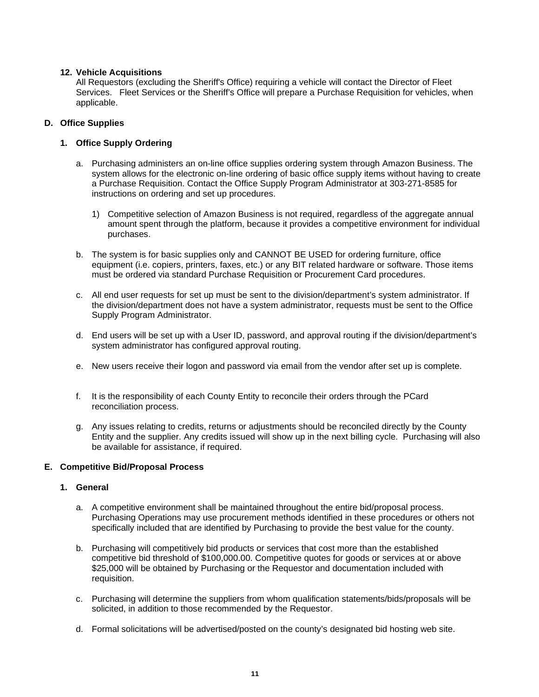## <span id="page-13-0"></span>**12. Vehicle Acquisitions**

All Requestors (excluding the Sheriff's Office) requiring a vehicle will contact the Director of Fleet Services. Fleet Services or the Sheriff's Office will prepare a Purchase Requisition for vehicles, when applicable.

## <span id="page-13-1"></span>**D. Office Supplies**

## <span id="page-13-2"></span>**1. Office Supply Ordering**

- a. Purchasing administers an on-line office supplies ordering system through Amazon Business. The system allows for the electronic on-line ordering of basic office supply items without having to create a Purchase Requisition. Contact the Office Supply Program Administrator at 303-271-8585 for instructions on ordering and set up procedures.
	- 1) Competitive selection of Amazon Business is not required, regardless of the aggregate annual amount spent through the platform, because it provides a competitive environment for individual purchases.
- b. The system is for basic supplies only and CANNOT BE USED for ordering furniture, office equipment (i.e. copiers, printers, faxes, etc.) or any BIT related hardware or software. Those items must be ordered via standard Purchase Requisition or Procurement Card procedures.
- c. All end user requests for set up must be sent to the division/department's system administrator. If the division/department does not have a system administrator, requests must be sent to the Office Supply Program Administrator.
- d. End users will be set up with a User ID, password, and approval routing if the division/department's system administrator has configured approval routing.
- e. New users receive their logon and password via email from the vendor after set up is complete.
- f. It is the responsibility of each County Entity to reconcile their orders through the PCard reconciliation process.
- g. Any issues relating to credits, returns or adjustments should be reconciled directly by the County Entity and the supplier. Any credits issued will show up in the next billing cycle. Purchasing will also be available for assistance, if required.

## <span id="page-13-3"></span>**E. Competitive Bid/Proposal Process**

## <span id="page-13-4"></span>**1. General**

- a. A competitive environment shall be maintained throughout the entire bid/proposal process. Purchasing Operations may use procurement methods identified in these procedures or others not specifically included that are identified by Purchasing to provide the best value for the county.
- b. Purchasing will competitively bid products or services that cost more than the established competitive bid threshold of \$100,000.00. Competitive quotes for goods or services at or above \$25,000 will be obtained by Purchasing or the Requestor and documentation included with requisition.
- c. Purchasing will determine the suppliers from whom qualification statements/bids/proposals will be solicited, in addition to those recommended by the Requestor.
- d. Formal solicitations will be advertised/posted on the county's designated bid hosting web site.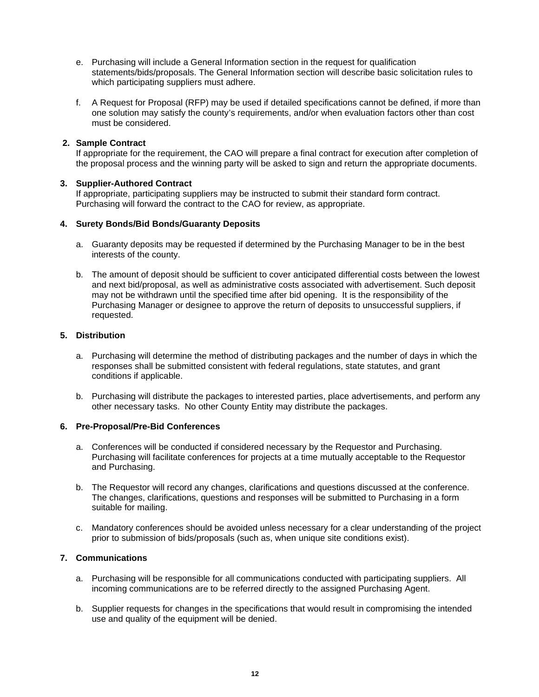- e. Purchasing will include a General Information section in the request for qualification statements/bids/proposals. The General Information section will describe basic solicitation rules to which participating suppliers must adhere.
- f. A Request for Proposal (RFP) may be used if detailed specifications cannot be defined, if more than one solution may satisfy the county's requirements, and/or when evaluation factors other than cost must be considered.

## <span id="page-14-0"></span>**2. Sample Contract**

If appropriate for the requirement, the CAO will prepare a final contract for execution after completion of the proposal process and the winning party will be asked to sign and return the appropriate documents.

## <span id="page-14-1"></span>**3. Supplier-Authored Contract**

If appropriate, participating suppliers may be instructed to submit their standard form contract. Purchasing will forward the contract to the CAO for review, as appropriate.

## <span id="page-14-2"></span>**4. Surety Bonds/Bid Bonds/Guaranty Deposits**

- a. Guaranty deposits may be requested if determined by the Purchasing Manager to be in the best interests of the county.
- b. The amount of deposit should be sufficient to cover anticipated differential costs between the lowest and next bid/proposal, as well as administrative costs associated with advertisement. Such deposit may not be withdrawn until the specified time after bid opening. It is the responsibility of the Purchasing Manager or designee to approve the return of deposits to unsuccessful suppliers, if requested.

## <span id="page-14-3"></span>**5. Distribution**

- a. Purchasing will determine the method of distributing packages and the number of days in which the responses shall be submitted consistent with federal regulations, state statutes, and grant conditions if applicable.
- b. Purchasing will distribute the packages to interested parties, place advertisements, and perform any other necessary tasks. No other County Entity may distribute the packages.

## <span id="page-14-4"></span>**6. Pre-Proposal/Pre-Bid Conferences**

- a. Conferences will be conducted if considered necessary by the Requestor and Purchasing. Purchasing will facilitate conferences for projects at a time mutually acceptable to the Requestor and Purchasing.
- b. The Requestor will record any changes, clarifications and questions discussed at the conference. The changes, clarifications, questions and responses will be submitted to Purchasing in a form suitable for mailing.
- c. Mandatory conferences should be avoided unless necessary for a clear understanding of the project prior to submission of bids/proposals (such as, when unique site conditions exist).

## <span id="page-14-5"></span>**7. Communications**

- a. Purchasing will be responsible for all communications conducted with participating suppliers. All incoming communications are to be referred directly to the assigned Purchasing Agent.
- b. Supplier requests for changes in the specifications that would result in compromising the intended use and quality of the equipment will be denied.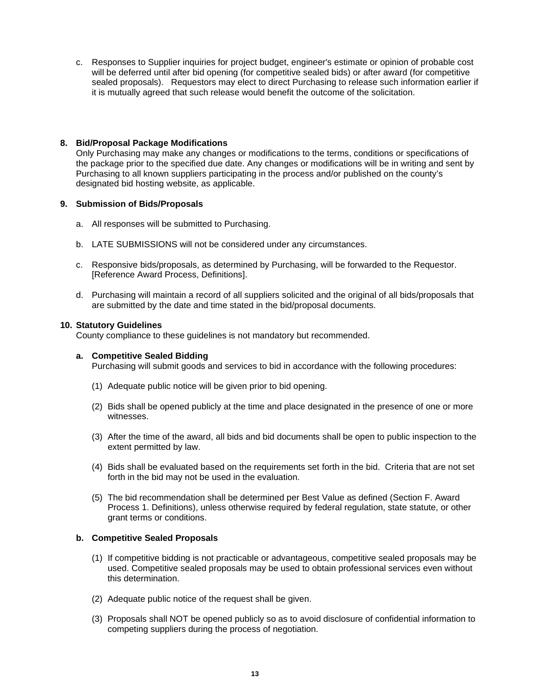c. Responses to Supplier inquiries for project budget, engineer's estimate or opinion of probable cost will be deferred until after bid opening (for competitive sealed bids) or after award (for competitive sealed proposals). Requestors may elect to direct Purchasing to release such information earlier if it is mutually agreed that such release would benefit the outcome of the solicitation.

## <span id="page-15-0"></span>**8. Bid/Proposal Package Modifications**

Only Purchasing may make any changes or modifications to the terms, conditions or specifications of the package prior to the specified due date. Any changes or modifications will be in writing and sent by Purchasing to all known suppliers participating in the process and/or published on the county's designated bid hosting website, as applicable.

## <span id="page-15-1"></span>**9. Submission of Bids/Proposals**

- a. All responses will be submitted to Purchasing.
- b. LATE SUBMISSIONS will not be considered under any circumstances.
- c. Responsive bids/proposals, as determined by Purchasing, will be forwarded to the Requestor. [Reference Award Process, Definitions].
- d. Purchasing will maintain a record of all suppliers solicited and the original of all bids/proposals that are submitted by the date and time stated in the bid/proposal documents.

## <span id="page-15-2"></span>**10. Statutory Guidelines**

County compliance to these guidelines is not mandatory but recommended.

## <span id="page-15-3"></span>**a. Competitive Sealed Bidding**

Purchasing will submit goods and services to bid in accordance with the following procedures:

- (1) Adequate public notice will be given prior to bid opening.
- (2) Bids shall be opened publicly at the time and place designated in the presence of one or more witnesses.
- (3) After the time of the award, all bids and bid documents shall be open to public inspection to the extent permitted by law.
- (4) Bids shall be evaluated based on the requirements set forth in the bid. Criteria that are not set forth in the bid may not be used in the evaluation.
- (5) The bid recommendation shall be determined per Best Value as defined (Section F. Award Process 1. Definitions), unless otherwise required by federal regulation, state statute, or other grant terms or conditions.

## <span id="page-15-4"></span>**b. Competitive Sealed Proposals**

- (1) If competitive bidding is not practicable or advantageous, competitive sealed proposals may be used. Competitive sealed proposals may be used to obtain professional services even without this determination.
- (2) Adequate public notice of the request shall be given.
- (3) Proposals shall NOT be opened publicly so as to avoid disclosure of confidential information to competing suppliers during the process of negotiation.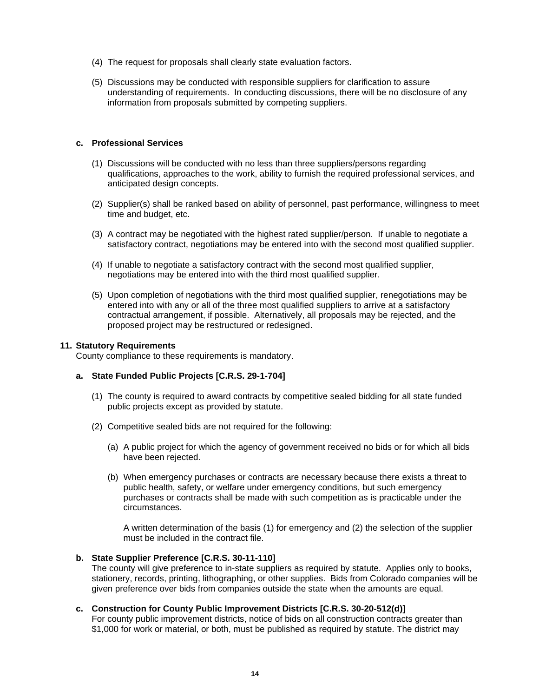- (4) The request for proposals shall clearly state evaluation factors.
- (5) Discussions may be conducted with responsible suppliers for clarification to assure understanding of requirements. In conducting discussions, there will be no disclosure of any information from proposals submitted by competing suppliers.

### <span id="page-16-0"></span>**c. Professional Services**

- (1) Discussions will be conducted with no less than three suppliers/persons regarding qualifications, approaches to the work, ability to furnish the required professional services, and anticipated design concepts.
- (2) Supplier(s) shall be ranked based on ability of personnel, past performance, willingness to meet time and budget, etc.
- (3) A contract may be negotiated with the highest rated supplier/person. If unable to negotiate a satisfactory contract, negotiations may be entered into with the second most qualified supplier.
- (4) If unable to negotiate a satisfactory contract with the second most qualified supplier, negotiations may be entered into with the third most qualified supplier.
- (5) Upon completion of negotiations with the third most qualified supplier, renegotiations may be entered into with any or all of the three most qualified suppliers to arrive at a satisfactory contractual arrangement, if possible. Alternatively, all proposals may be rejected, and the proposed project may be restructured or redesigned.

#### <span id="page-16-1"></span>**11. Statutory Requirements**

County compliance to these requirements is mandatory.

## <span id="page-16-2"></span>**a. State Funded Public Projects [C.R.S. 29-1-704]**

- (1) The county is required to award contracts by competitive sealed bidding for all state funded public projects except as provided by statute.
- (2) Competitive sealed bids are not required for the following:
	- (a) A public project for which the agency of government received no bids or for which all bids have been rejected.
	- (b) When emergency purchases or contracts are necessary because there exists a threat to public health, safety, or welfare under emergency conditions, but such emergency purchases or contracts shall be made with such competition as is practicable under the circumstances.

A written determination of the basis (1) for emergency and (2) the selection of the supplier must be included in the contract file.

#### <span id="page-16-3"></span>**b. State Supplier Preference [C.R.S. 30-11-110]**

The county will give preference to in-state suppliers as required by statute. Applies only to books, stationery, records, printing, lithographing, or other supplies. Bids from Colorado companies will be given preference over bids from companies outside the state when the amounts are equal.

## <span id="page-16-4"></span>**c. Construction for County Public Improvement Districts [C.R.S. 30-20-512(d)]**

For county public improvement districts, notice of bids on all construction contracts greater than \$1,000 for work or material, or both, must be published as required by statute. The district may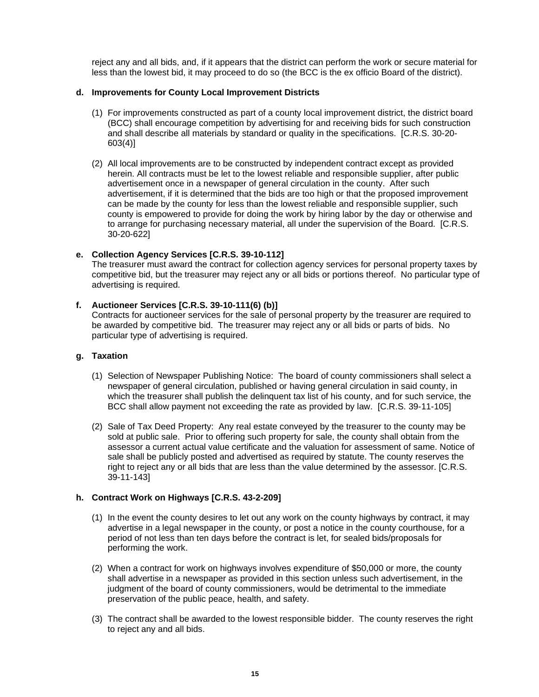reject any and all bids, and, if it appears that the district can perform the work or secure material for less than the lowest bid, it may proceed to do so (the BCC is the ex officio Board of the district).

### <span id="page-17-0"></span>**d. Improvements for County Local Improvement Districts**

- (1) For improvements constructed as part of a county local improvement district, the district board (BCC) shall encourage competition by advertising for and receiving bids for such construction and shall describe all materials by standard or quality in the specifications. [C.R.S. 30-20- 603(4)]
- (2) All local improvements are to be constructed by independent contract except as provided herein. All contracts must be let to the lowest reliable and responsible supplier, after public advertisement once in a newspaper of general circulation in the county. After such advertisement, if it is determined that the bids are too high or that the proposed improvement can be made by the county for less than the lowest reliable and responsible supplier, such county is empowered to provide for doing the work by hiring labor by the day or otherwise and to arrange for purchasing necessary material, all under the supervision of the Board. [C.R.S. 30-20-622]

## <span id="page-17-1"></span>**e. Collection Agency Services [C.R.S. 39-10-112]**

The treasurer must award the contract for collection agency services for personal property taxes by competitive bid, but the treasurer may reject any or all bids or portions thereof. No particular type of advertising is required.

## <span id="page-17-2"></span>**f. Auctioneer Services [C.R.S. 39-10-111(6) (b)]**

Contracts for auctioneer services for the sale of personal property by the treasurer are required to be awarded by competitive bid. The treasurer may reject any or all bids or parts of bids. No particular type of advertising is required.

## <span id="page-17-3"></span>**g. Taxation**

- (1) Selection of Newspaper Publishing Notice: The board of county commissioners shall select a newspaper of general circulation, published or having general circulation in said county, in which the treasurer shall publish the delinquent tax list of his county, and for such service, the BCC shall allow payment not exceeding the rate as provided by law. [C.R.S. 39-11-105]
- (2) Sale of Tax Deed Property: Any real estate conveyed by the treasurer to the county may be sold at public sale. Prior to offering such property for sale, the county shall obtain from the assessor a current actual value certificate and the valuation for assessment of same. Notice of sale shall be publicly posted and advertised as required by statute. The county reserves the right to reject any or all bids that are less than the value determined by the assessor. [C.R.S. 39-11-143]

#### <span id="page-17-4"></span>**h. Contract Work on Highways [C.R.S. 43-2-209]**

- (1) In the event the county desires to let out any work on the county highways by contract, it may advertise in a legal newspaper in the county, or post a notice in the county courthouse, for a period of not less than ten days before the contract is let, for sealed bids/proposals for performing the work.
- (2) When a contract for work on highways involves expenditure of \$50,000 or more, the county shall advertise in a newspaper as provided in this section unless such advertisement, in the judgment of the board of county commissioners, would be detrimental to the immediate preservation of the public peace, health, and safety.
- (3) The contract shall be awarded to the lowest responsible bidder. The county reserves the right to reject any and all bids.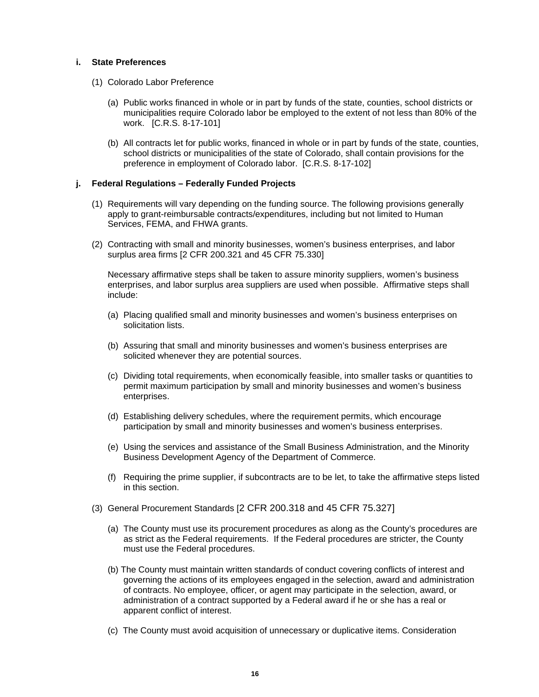### <span id="page-18-0"></span>**i. State Preferences**

- (1) Colorado Labor Preference
	- (a) Public works financed in whole or in part by funds of the state, counties, school districts or municipalities require Colorado labor be employed to the extent of not less than 80% of the work. [C.R.S. 8-17-101]
	- (b) All contracts let for public works, financed in whole or in part by funds of the state, counties, school districts or municipalities of the state of Colorado, shall contain provisions for the preference in employment of Colorado labor. [C.R.S. 8-17-102]

## <span id="page-18-1"></span>**j. Federal Regulations – Federally Funded Projects**

- (1) Requirements will vary depending on the funding source. The following provisions generally apply to grant-reimbursable contracts/expenditures, including but not limited to Human Services, FEMA, and FHWA grants.
- (2) Contracting with small and minority businesses, women's business enterprises, and labor surplus area firms [2 CFR 200.321 and 45 CFR 75.330]

Necessary affirmative steps shall be taken to assure minority suppliers, women's business enterprises, and labor surplus area suppliers are used when possible. Affirmative steps shall include:

- (a) Placing qualified small and minority businesses and women's business enterprises on solicitation lists.
- (b) Assuring that small and minority businesses and women's business enterprises are solicited whenever they are potential sources.
- (c) Dividing total requirements, when economically feasible, into smaller tasks or quantities to permit maximum participation by small and minority businesses and women's business enterprises.
- (d) Establishing delivery schedules, where the requirement permits, which encourage participation by small and minority businesses and women's business enterprises.
- (e) Using the services and assistance of the Small Business Administration, and the Minority Business Development Agency of the Department of Commerce.
- (f) Requiring the prime supplier, if subcontracts are to be let, to take the affirmative steps listed in this section.
- (3) General Procurement Standards [2 CFR 200.318 and 45 CFR 75.327]
	- (a) The County must use its procurement procedures as along as the County's procedures are as strict as the Federal requirements. If the Federal procedures are stricter, the County must use the Federal procedures.
	- (b) The County must maintain written standards of conduct covering conflicts of interest and governing the actions of its employees engaged in the selection, award and administration of contracts. No employee, officer, or agent may participate in the selection, award, or administration of a contract supported by a Federal award if he or she has a real or apparent conflict of interest.
	- (c) The County must avoid acquisition of unnecessary or duplicative items. Consideration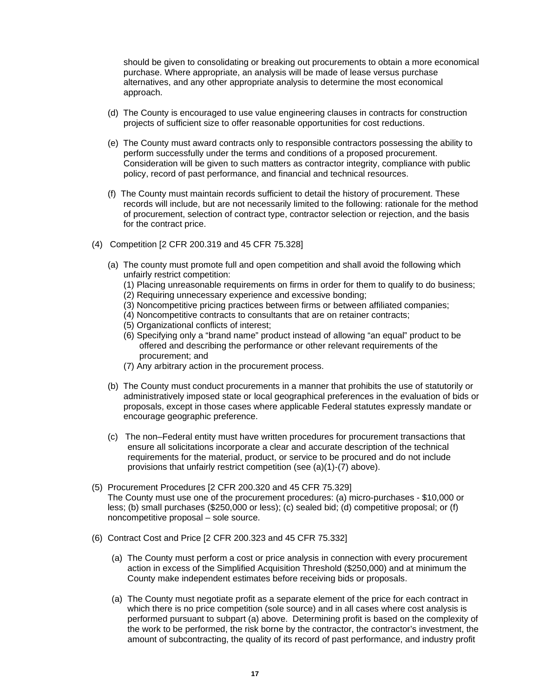should be given to consolidating or breaking out procurements to obtain a more economical purchase. Where appropriate, an analysis will be made of lease versus purchase alternatives, and any other appropriate analysis to determine the most economical approach.

- (d) The County is encouraged to use value engineering clauses in contracts for construction projects of sufficient size to offer reasonable opportunities for cost reductions.
- (e) The County must award contracts only to responsible contractors possessing the ability to perform successfully under the terms and conditions of a proposed procurement. Consideration will be given to such matters as contractor integrity, compliance with public policy, record of past performance, and financial and technical resources.
- (f) The County must maintain records sufficient to detail the history of procurement. These records will include, but are not necessarily limited to the following: rationale for the method of procurement, selection of contract type, contractor selection or rejection, and the basis for the contract price.
- (4) Competition [2 CFR 200.319 and 45 CFR 75.328]
	- (a) The county must promote full and open competition and shall avoid the following which unfairly restrict competition:
		- (1) Placing unreasonable requirements on firms in order for them to qualify to do business;
		- (2) Requiring unnecessary experience and excessive bonding;
		- (3) Noncompetitive pricing practices between firms or between affiliated companies;
		- (4) Noncompetitive contracts to consultants that are on retainer contracts;
		- (5) Organizational conflicts of interest;
		- (6) Specifying only a "brand name" product instead of allowing "an equal" product to be offered and describing the performance or other relevant requirements of the procurement; and
		- (7) Any arbitrary action in the procurement process.
	- (b) The County must conduct procurements in a manner that prohibits the use of statutorily or administratively imposed state or local geographical preferences in the evaluation of bids or proposals, except in those cases where applicable Federal statutes expressly mandate or encourage geographic preference.
	- (c) The non–Federal entity must have written procedures for procurement transactions that ensure all solicitations incorporate a clear and accurate description of the technical requirements for the material, product, or service to be procured and do not include provisions that unfairly restrict competition (see (a)(1)-(7) above).
- (5) Procurement Procedures [2 CFR 200.320 and 45 CFR 75.329] The County must use one of the procurement procedures: (a) micro-purchases - \$10,000 or less; (b) small purchases (\$250,000 or less); (c) sealed bid; (d) competitive proposal; or (f) noncompetitive proposal – sole source.
- (6) Contract Cost and Price [2 CFR 200.323 and 45 CFR 75.332]
	- (a) The County must perform a cost or price analysis in connection with every procurement action in excess of the Simplified Acquisition Threshold (\$250,000) and at minimum the County make independent estimates before receiving bids or proposals.
	- (a) The County must negotiate profit as a separate element of the price for each contract in which there is no price competition (sole source) and in all cases where cost analysis is performed pursuant to subpart (a) above. Determining profit is based on the complexity of the work to be performed, the risk borne by the contractor, the contractor's investment, the amount of subcontracting, the quality of its record of past performance, and industry profit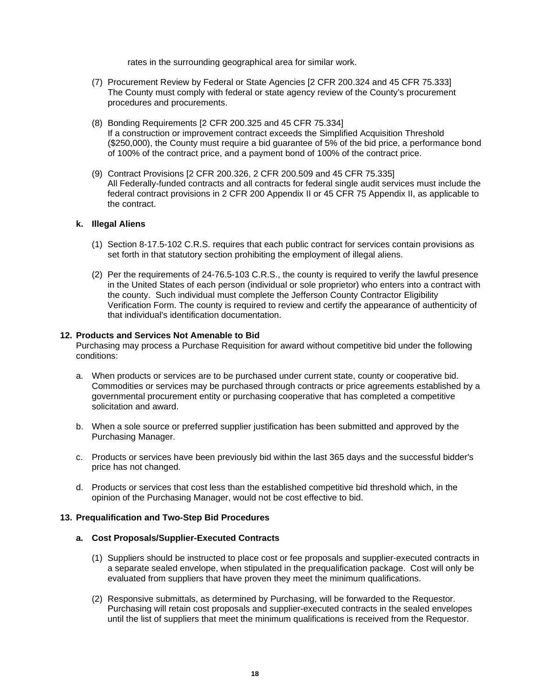rates in the surrounding geographical area for similar work.

- (7) Procurement Review by Federal or State Agencies [2 CFR 200.324 and 45 CFR 75.333] The County must comply with federal or state agency review of the County's procurement procedures and procurements.
- (8) Bonding Requirements [2 CFR 200.325 and 45 CFR 75.334] If a construction or improvement contract exceeds the Simplified Acquisition Threshold (\$250,000), the County must require a bid guarantee of 5% of the bid price, a performance bond of 100% of the contract price, and a payment bond of 100% of the contract price.
- (9) Contract Provisions [2 CFR 200.326, 2 CFR 200.509 and 45 CFR 75.335] All Federally-funded contracts and all contracts for federal single audit services must include the federal contract provisions in 2 CFR 200 Appendix II or 45 CFR 75 Appendix II, as applicable to the contract.

## <span id="page-20-0"></span>**k. Illegal Aliens**

- (1) Section 8-17.5-102 C.R.S. requires that each public contract for services contain provisions as set forth in that statutory section prohibiting the employment of illegal aliens.
- (2) Per the requirements of 24-76.5-103 C.R.S., the county is required to verify the lawful presence in the United States of each person (individual or sole proprietor) who enters into a contract with the county. Such individual must complete the Jefferson County Contractor Eligibility Verification Form. The county is required to review and certify the appearance of authenticity of that individual's identification documentation.

## <span id="page-20-1"></span>**12. Products and Services Not Amenable to Bid**

Purchasing may process a Purchase Requisition for award without competitive bid under the following conditions:

- a. When products or services are to be purchased under current state, county or cooperative bid. Commodities or services may be purchased through contracts or price agreements established by a governmental procurement entity or purchasing cooperative that has completed a competitive solicitation and award.
- b. When a sole source or preferred supplier justification has been submitted and approved by the Purchasing Manager.
- c. Products or services have been previously bid within the last 365 days and the successful bidder's price has not changed.
- d. Products or services that cost less than the established competitive bid threshold which, in the opinion of the Purchasing Manager, would not be cost effective to bid.

## <span id="page-20-3"></span><span id="page-20-2"></span>**13. Prequalification and Two-Step Bid Procedures**

## **a. Cost Proposals/Supplier-Executed Contracts**

- (1) Suppliers should be instructed to place cost or fee proposals and supplier-executed contracts in a separate sealed envelope, when stipulated in the prequalification package. Cost will only be evaluated from suppliers that have proven they meet the minimum qualifications.
- (2) Responsive submittals, as determined by Purchasing, will be forwarded to the Requestor. Purchasing will retain cost proposals and supplier-executed contracts in the sealed envelopes until the list of suppliers that meet the minimum qualifications is received from the Requestor.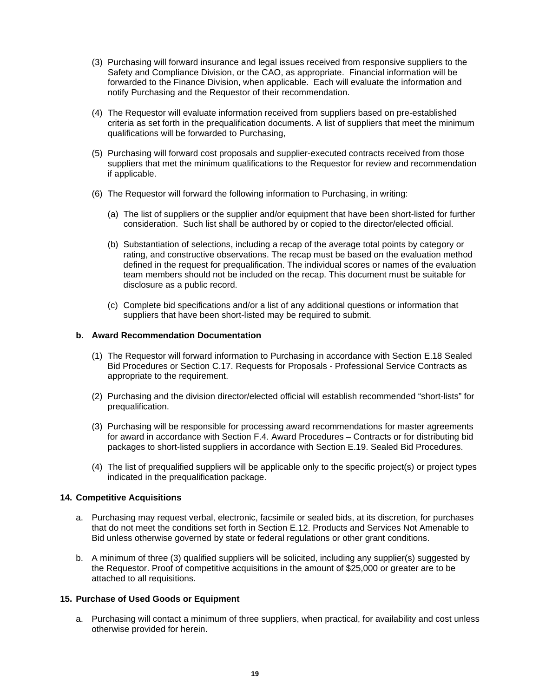- (3) Purchasing will forward insurance and legal issues received from responsive suppliers to the Safety and Compliance Division, or the CAO, as appropriate. Financial information will be forwarded to the Finance Division, when applicable. Each will evaluate the information and notify Purchasing and the Requestor of their recommendation.
- (4) The Requestor will evaluate information received from suppliers based on pre-established criteria as set forth in the prequalification documents. A list of suppliers that meet the minimum qualifications will be forwarded to Purchasing,
- (5) Purchasing will forward cost proposals and supplier-executed contracts received from those suppliers that met the minimum qualifications to the Requestor for review and recommendation if applicable.
- (6) The Requestor will forward the following information to Purchasing, in writing:
	- (a) The list of suppliers or the supplier and/or equipment that have been short-listed for further consideration. Such list shall be authored by or copied to the director/elected official.
	- (b) Substantiation of selections, including a recap of the average total points by category or rating, and constructive observations. The recap must be based on the evaluation method defined in the request for prequalification. The individual scores or names of the evaluation team members should not be included on the recap. This document must be suitable for disclosure as a public record.
	- (c) Complete bid specifications and/or a list of any additional questions or information that suppliers that have been short-listed may be required to submit.

#### <span id="page-21-0"></span>**b. Award Recommendation Documentation**

- (1) The Requestor will forward information to Purchasing in accordance with Section E.18 Sealed Bid Procedures or Section C.17. Requests for Proposals - Professional Service Contracts as appropriate to the requirement.
- (2) Purchasing and the division director/elected official will establish recommended "short-lists" for prequalification.
- (3) Purchasing will be responsible for processing award recommendations for master agreements for award in accordance with Section F.4. Award Procedures – Contracts or for distributing bid packages to short-listed suppliers in accordance with Section E.19. Sealed Bid Procedures.
- (4) The list of prequalified suppliers will be applicable only to the specific project(s) or project types indicated in the prequalification package.

#### <span id="page-21-1"></span>**14. Competitive Acquisitions**

- a. Purchasing may request verbal, electronic, facsimile or sealed bids, at its discretion, for purchases that do not meet the conditions set forth in Section E.12. Products and Services Not Amenable to Bid unless otherwise governed by state or federal regulations or other grant conditions.
- b. A minimum of three (3) qualified suppliers will be solicited, including any supplier(s) suggested by the Requestor. Proof of competitive acquisitions in the amount of \$25,000 or greater are to be attached to all requisitions.

#### <span id="page-21-2"></span>**15. Purchase of Used Goods or Equipment**

a. Purchasing will contact a minimum of three suppliers, when practical, for availability and cost unless otherwise provided for herein.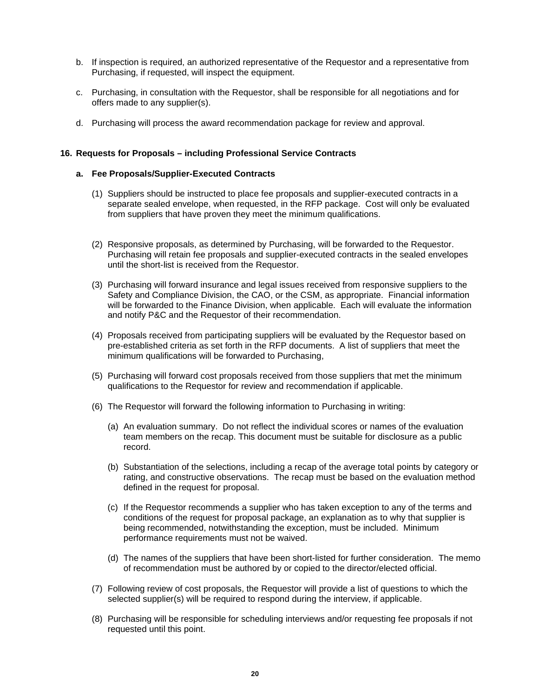- b. If inspection is required, an authorized representative of the Requestor and a representative from Purchasing, if requested, will inspect the equipment.
- c. Purchasing, in consultation with the Requestor, shall be responsible for all negotiations and for offers made to any supplier(s).
- d. Purchasing will process the award recommendation package for review and approval.

### <span id="page-22-1"></span><span id="page-22-0"></span>**16. Requests for Proposals – including Professional Service Contracts**

### **a. Fee Proposals/Supplier-Executed Contracts**

- (1) Suppliers should be instructed to place fee proposals and supplier-executed contracts in a separate sealed envelope, when requested, in the RFP package. Cost will only be evaluated from suppliers that have proven they meet the minimum qualifications.
- (2) Responsive proposals, as determined by Purchasing, will be forwarded to the Requestor. Purchasing will retain fee proposals and supplier-executed contracts in the sealed envelopes until the short-list is received from the Requestor.
- (3) Purchasing will forward insurance and legal issues received from responsive suppliers to the Safety and Compliance Division, the CAO, or the CSM, as appropriate. Financial information will be forwarded to the Finance Division, when applicable. Each will evaluate the information and notify P&C and the Requestor of their recommendation.
- (4) Proposals received from participating suppliers will be evaluated by the Requestor based on pre-established criteria as set forth in the RFP documents. A list of suppliers that meet the minimum qualifications will be forwarded to Purchasing,
- (5) Purchasing will forward cost proposals received from those suppliers that met the minimum qualifications to the Requestor for review and recommendation if applicable.
- (6) The Requestor will forward the following information to Purchasing in writing:
	- (a) An evaluation summary. Do not reflect the individual scores or names of the evaluation team members on the recap. This document must be suitable for disclosure as a public record.
	- (b) Substantiation of the selections, including a recap of the average total points by category or rating, and constructive observations. The recap must be based on the evaluation method defined in the request for proposal.
	- (c) If the Requestor recommends a supplier who has taken exception to any of the terms and conditions of the request for proposal package, an explanation as to why that supplier is being recommended, notwithstanding the exception, must be included. Minimum performance requirements must not be waived.
	- (d) The names of the suppliers that have been short-listed for further consideration. The memo of recommendation must be authored by or copied to the director/elected official.
- (7) Following review of cost proposals, the Requestor will provide a list of questions to which the selected supplier(s) will be required to respond during the interview, if applicable.
- (8) Purchasing will be responsible for scheduling interviews and/or requesting fee proposals if not requested until this point.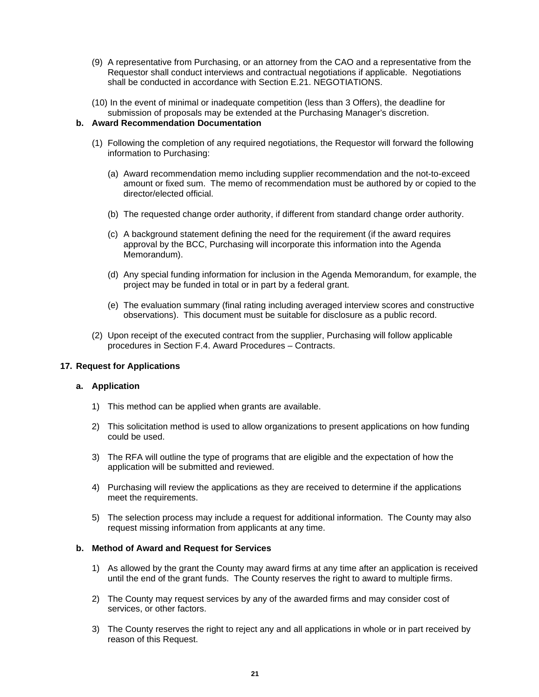- (9) A representative from Purchasing, or an attorney from the CAO and a representative from the Requestor shall conduct interviews and contractual negotiations if applicable. Negotiations shall be conducted in accordance with Section E.21. NEGOTIATIONS.
- (10) In the event of minimal or inadequate competition (less than 3 Offers), the deadline for submission of proposals may be extended at the Purchasing Manager's discretion.

## <span id="page-23-0"></span>**b. Award Recommendation Documentation**

- (1) Following the completion of any required negotiations, the Requestor will forward the following information to Purchasing:
	- (a) Award recommendation memo including supplier recommendation and the not-to-exceed amount or fixed sum. The memo of recommendation must be authored by or copied to the director/elected official.
	- (b) The requested change order authority, if different from standard change order authority.
	- (c) A background statement defining the need for the requirement (if the award requires approval by the BCC, Purchasing will incorporate this information into the Agenda Memorandum).
	- (d) Any special funding information for inclusion in the Agenda Memorandum, for example, the project may be funded in total or in part by a federal grant.
	- (e) The evaluation summary (final rating including averaged interview scores and constructive observations). This document must be suitable for disclosure as a public record.
- (2) Upon receipt of the executed contract from the supplier, Purchasing will follow applicable procedures in Section F.4. Award Procedures – Contracts.

## <span id="page-23-2"></span><span id="page-23-1"></span>**17. Request for Applications**

#### **a. Application**

- 1) This method can be applied when grants are available.
- 2) This solicitation method is used to allow organizations to present applications on how funding could be used.
- 3) The RFA will outline the type of programs that are eligible and the expectation of how the application will be submitted and reviewed.
- 4) Purchasing will review the applications as they are received to determine if the applications meet the requirements.
- 5) The selection process may include a request for additional information. The County may also request missing information from applicants at any time.

#### <span id="page-23-3"></span>**b. Method of Award and Request for Services**

- 1) As allowed by the grant the County may award firms at any time after an application is received until the end of the grant funds. The County reserves the right to award to multiple firms.
- 2) The County may request services by any of the awarded firms and may consider cost of services, or other factors.
- 3) The County reserves the right to reject any and all applications in whole or in part received by reason of this Request.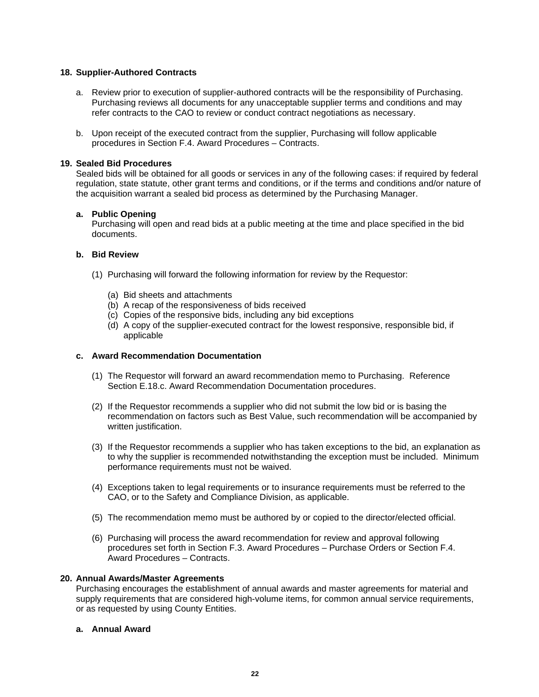## <span id="page-24-0"></span>**18. Supplier-Authored Contracts**

- a. Review prior to execution of supplier-authored contracts will be the responsibility of Purchasing. Purchasing reviews all documents for any unacceptable supplier terms and conditions and may refer contracts to the CAO to review or conduct contract negotiations as necessary.
- b. Upon receipt of the executed contract from the supplier, Purchasing will follow applicable procedures in Section F.4. Award Procedures – Contracts.

#### <span id="page-24-1"></span>**19. Sealed Bid Procedures**

Sealed bids will be obtained for all goods or services in any of the following cases: if required by federal regulation, state statute, other grant terms and conditions, or if the terms and conditions and/or nature of the acquisition warrant a sealed bid process as determined by the Purchasing Manager.

## <span id="page-24-2"></span>**a. Public Opening**

Purchasing will open and read bids at a public meeting at the time and place specified in the bid documents.

#### <span id="page-24-3"></span>**b. Bid Review**

- (1) Purchasing will forward the following information for review by the Requestor:
	- (a) Bid sheets and attachments
	- (b) A recap of the responsiveness of bids received
	- (c) Copies of the responsive bids, including any bid exceptions
	- (d) A copy of the supplier-executed contract for the lowest responsive, responsible bid, if applicable

#### <span id="page-24-4"></span>**c. Award Recommendation Documentation**

- (1) The Requestor will forward an award recommendation memo to Purchasing. Reference Section E.18.c. Award Recommendation Documentation procedures.
- (2) If the Requestor recommends a supplier who did not submit the low bid or is basing the recommendation on factors such as Best Value, such recommendation will be accompanied by written justification.
- (3) If the Requestor recommends a supplier who has taken exceptions to the bid, an explanation as to why the supplier is recommended notwithstanding the exception must be included. Minimum performance requirements must not be waived.
- (4) Exceptions taken to legal requirements or to insurance requirements must be referred to the CAO, or to the Safety and Compliance Division, as applicable.
- (5) The recommendation memo must be authored by or copied to the director/elected official.
- (6) Purchasing will process the award recommendation for review and approval following procedures set forth in Section F.3. Award Procedures – Purchase Orders or Section F.4. Award Procedures – Contracts.

#### <span id="page-24-5"></span>**20. Annual Awards/Master Agreements**

Purchasing encourages the establishment of annual awards and master agreements for material and supply requirements that are considered high-volume items, for common annual service requirements, or as requested by using County Entities.

### <span id="page-24-6"></span>**a. Annual Award**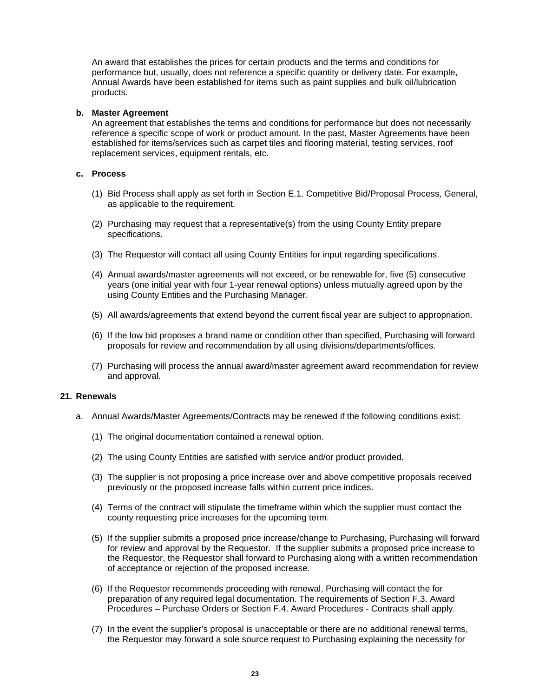An award that establishes the prices for certain products and the terms and conditions for performance but, usually, does not reference a specific quantity or delivery date. For example, Annual Awards have been established for items such as paint supplies and bulk oil/lubrication products.

#### <span id="page-25-0"></span>**b. Master Agreement**

An agreement that establishes the terms and conditions for performance but does not necessarily reference a specific scope of work or product amount. In the past, Master Agreements have been established for items/services such as carpet tiles and flooring material, testing services, roof replacement services, equipment rentals, etc.

## <span id="page-25-1"></span>**c. Process**

- (1) Bid Process shall apply as set forth in Section E.1. Competitive Bid/Proposal Process, General, as applicable to the requirement.
- (2) Purchasing may request that a representative(s) from the using County Entity prepare specifications.
- (3) The Requestor will contact all using County Entities for input regarding specifications.
- (4) Annual awards/master agreements will not exceed, or be renewable for, five (5) consecutive years (one initial year with four 1-year renewal options) unless mutually agreed upon by the using County Entities and the Purchasing Manager.
- (5) All awards/agreements that extend beyond the current fiscal year are subject to appropriation.
- (6) If the low bid proposes a brand name or condition other than specified, Purchasing will forward proposals for review and recommendation by all using divisions/departments/offices.
- (7) Purchasing will process the annual award/master agreement award recommendation for review and approval.

#### <span id="page-25-2"></span>**21. Renewals**

- a. Annual Awards/Master Agreements/Contracts may be renewed if the following conditions exist:
	- (1) The original documentation contained a renewal option.
	- (2) The using County Entities are satisfied with service and/or product provided.
	- (3) The supplier is not proposing a price increase over and above competitive proposals received previously or the proposed increase falls within current price indices.
	- (4) Terms of the contract will stipulate the timeframe within which the supplier must contact the county requesting price increases for the upcoming term.
	- (5) If the supplier submits a proposed price increase/change to Purchasing, Purchasing will forward for review and approval by the Requestor. If the supplier submits a proposed price increase to the Requestor, the Requestor shall forward to Purchasing along with a written recommendation of acceptance or rejection of the proposed increase.
	- (6) If the Requestor recommends proceeding with renewal, Purchasing will contact the for preparation of any required legal documentation. The requirements of Section F.3. Award Procedures – Purchase Orders or Section F.4. Award Procedures - Contracts shall apply.
	- (7) In the event the supplier's proposal is unacceptable or there are no additional renewal terms, the Requestor may forward a sole source request to Purchasing explaining the necessity for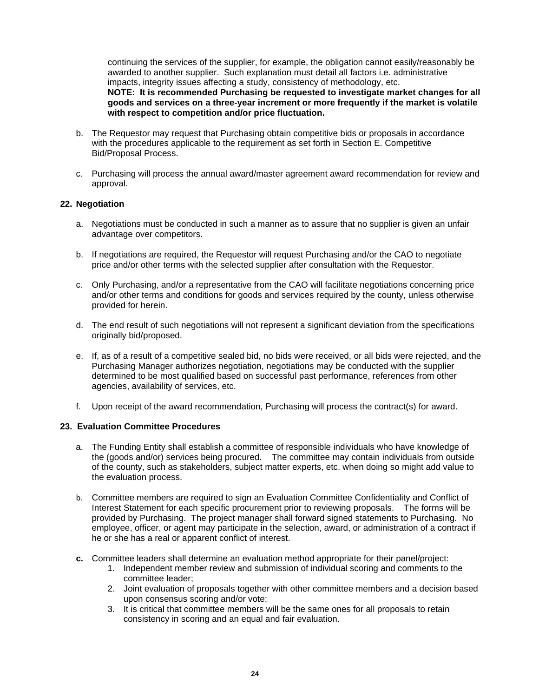continuing the services of the supplier, for example, the obligation cannot easily/reasonably be awarded to another supplier. Such explanation must detail all factors i.e. administrative impacts, integrity issues affecting a study, consistency of methodology, etc. **NOTE: It is recommended Purchasing be requested to investigate market changes for all goods and services on a three-year increment or more frequently if the market is volatile with respect to competition and/or price fluctuation.**

- b. The Requestor may request that Purchasing obtain competitive bids or proposals in accordance with the procedures applicable to the requirement as set forth in Section E. Competitive Bid/Proposal Process.
- c. Purchasing will process the annual award/master agreement award recommendation for review and approval.

## <span id="page-26-0"></span>**22. Negotiation**

- a. Negotiations must be conducted in such a manner as to assure that no supplier is given an unfair advantage over competitors.
- b. If negotiations are required, the Requestor will request Purchasing and/or the CAO to negotiate price and/or other terms with the selected supplier after consultation with the Requestor.
- c. Only Purchasing, and/or a representative from the CAO will facilitate negotiations concerning price and/or other terms and conditions for goods and services required by the county, unless otherwise provided for herein.
- d. The end result of such negotiations will not represent a significant deviation from the specifications originally bid/proposed.
- e. If, as of a result of a competitive sealed bid, no bids were received, or all bids were rejected, and the Purchasing Manager authorizes negotiation, negotiations may be conducted with the supplier determined to be most qualified based on successful past performance, references from other agencies, availability of services, etc.
- f. Upon receipt of the award recommendation, Purchasing will process the contract(s) for award.

## <span id="page-26-1"></span>**23. Evaluation Committee Procedures**

- a. The Funding Entity shall establish a committee of responsible individuals who have knowledge of the (goods and/or) services being procured. The committee may contain individuals from outside of the county, such as stakeholders, subject matter experts, etc. when doing so might add value to the evaluation process.
- b. Committee members are required to sign an Evaluation Committee Confidentiality and Conflict of Interest Statement for each specific procurement prior to reviewing proposals. The forms will be provided by Purchasing. The project manager shall forward signed statements to Purchasing. No employee, officer, or agent may participate in the selection, award, or administration of a contract if he or she has a real or apparent conflict of interest.
- **c.** Committee leaders shall determine an evaluation method appropriate for their panel/project:
	- 1. Independent member review and submission of individual scoring and comments to the committee leader;
	- 2. Joint evaluation of proposals together with other committee members and a decision based upon consensus scoring and/or vote;
	- 3. It is critical that committee members will be the same ones for all proposals to retain consistency in scoring and an equal and fair evaluation.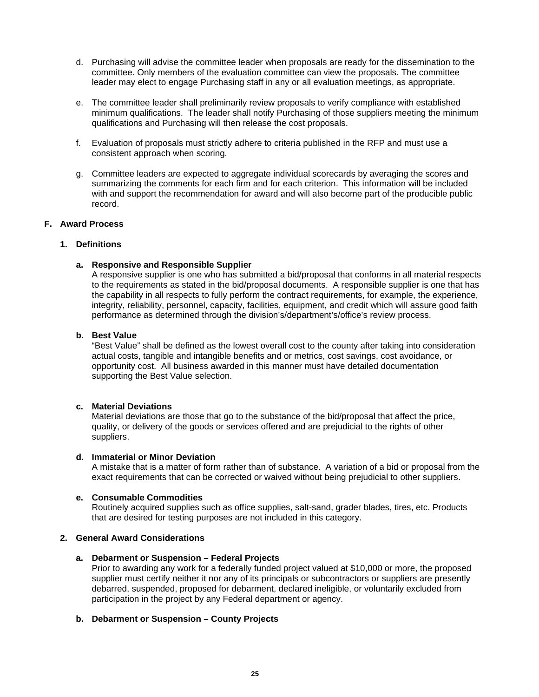- d. Purchasing will advise the committee leader when proposals are ready for the dissemination to the committee. Only members of the evaluation committee can view the proposals. The committee leader may elect to engage Purchasing staff in any or all evaluation meetings, as appropriate.
- e. The committee leader shall preliminarily review proposals to verify compliance with established minimum qualifications. The leader shall notify Purchasing of those suppliers meeting the minimum qualifications and Purchasing will then release the cost proposals.
- f. Evaluation of proposals must strictly adhere to criteria published in the RFP and must use a consistent approach when scoring.
- g. Committee leaders are expected to aggregate individual scorecards by averaging the scores and summarizing the comments for each firm and for each criterion. This information will be included with and support the recommendation for award and will also become part of the producible public record.

## <span id="page-27-0"></span>**F. Award Process**

#### <span id="page-27-2"></span><span id="page-27-1"></span>**1. Definitions**

#### **a. Responsive and Responsible Supplier**

A responsive supplier is one who has submitted a bid/proposal that conforms in all material respects to the requirements as stated in the bid/proposal documents. A responsible supplier is one that has the capability in all respects to fully perform the contract requirements, for example, the experience, integrity, reliability, personnel, capacity, facilities, equipment, and credit which will assure good faith performance as determined through the division's/department's/office's review process.

#### <span id="page-27-3"></span>**b. Best Value**

"Best Value" shall be defined as the lowest overall cost to the county after taking into consideration actual costs, tangible and intangible benefits and or metrics, cost savings, cost avoidance, or opportunity cost. All business awarded in this manner must have detailed documentation supporting the Best Value selection.

## <span id="page-27-4"></span>**c. Material Deviations**

Material deviations are those that go to the substance of the bid/proposal that affect the price, quality, or delivery of the goods or services offered and are prejudicial to the rights of other suppliers.

#### <span id="page-27-5"></span>**d. Immaterial or Minor Deviation**

A mistake that is a matter of form rather than of substance. A variation of a bid or proposal from the exact requirements that can be corrected or waived without being prejudicial to other suppliers.

## <span id="page-27-6"></span>**e. Consumable Commodities**

Routinely acquired supplies such as office supplies, salt-sand, grader blades, tires, etc. Products that are desired for testing purposes are not included in this category.

## <span id="page-27-8"></span><span id="page-27-7"></span>**2. General Award Considerations**

#### **a. Debarment or Suspension – Federal Projects**

Prior to awarding any work for a federally funded project valued at \$10,000 or more, the proposed supplier must certify neither it nor any of its principals or subcontractors or suppliers are presently debarred, suspended, proposed for debarment, declared ineligible, or voluntarily excluded from participation in the project by any Federal department or agency.

## <span id="page-27-9"></span>**b. Debarment or Suspension – County Projects**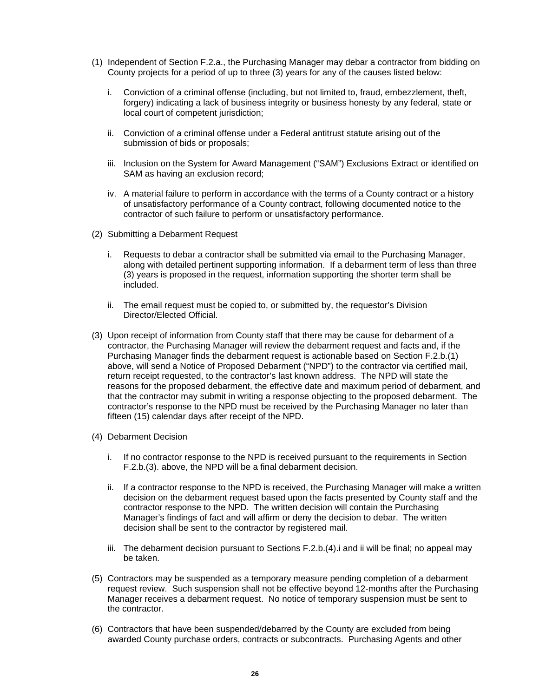- (1) Independent of Section F.2.a., the Purchasing Manager may debar a contractor from bidding on County projects for a period of up to three (3) years for any of the causes listed below:
	- i. Conviction of a criminal offense (including, but not limited to, fraud, embezzlement, theft, forgery) indicating a lack of business integrity or business honesty by any federal, state or local court of competent jurisdiction;
	- ii. Conviction of a criminal offense under a Federal antitrust statute arising out of the submission of bids or proposals;
	- iii. Inclusion on the System for Award Management ("SAM") Exclusions Extract or identified on SAM as having an exclusion record;
	- iv. A material failure to perform in accordance with the terms of a County contract or a history of unsatisfactory performance of a County contract, following documented notice to the contractor of such failure to perform or unsatisfactory performance.
- (2) Submitting a Debarment Request
	- i. Requests to debar a contractor shall be submitted via email to the Purchasing Manager, along with detailed pertinent supporting information. If a debarment term of less than three (3) years is proposed in the request, information supporting the shorter term shall be included.
	- ii. The email request must be copied to, or submitted by, the requestor's Division Director/Elected Official.
- (3) Upon receipt of information from County staff that there may be cause for debarment of a contractor, the Purchasing Manager will review the debarment request and facts and, if the Purchasing Manager finds the debarment request is actionable based on Section F.2.b.(1) above, will send a Notice of Proposed Debarment ("NPD") to the contractor via certified mail, return receipt requested, to the contractor's last known address. The NPD will state the reasons for the proposed debarment, the effective date and maximum period of debarment, and that the contractor may submit in writing a response objecting to the proposed debarment. The contractor's response to the NPD must be received by the Purchasing Manager no later than fifteen (15) calendar days after receipt of the NPD.
- (4) Debarment Decision
	- i. If no contractor response to the NPD is received pursuant to the requirements in Section F.2.b.(3). above, the NPD will be a final debarment decision.
	- ii. If a contractor response to the NPD is received, the Purchasing Manager will make a written decision on the debarment request based upon the facts presented by County staff and the contractor response to the NPD. The written decision will contain the Purchasing Manager's findings of fact and will affirm or deny the decision to debar. The written decision shall be sent to the contractor by registered mail.
	- iii. The debarment decision pursuant to Sections F.2.b.(4).i and ii will be final; no appeal may be taken.
- (5) Contractors may be suspended as a temporary measure pending completion of a debarment request review. Such suspension shall not be effective beyond 12-months after the Purchasing Manager receives a debarment request. No notice of temporary suspension must be sent to the contractor.
- (6) Contractors that have been suspended/debarred by the County are excluded from being awarded County purchase orders, contracts or subcontracts. Purchasing Agents and other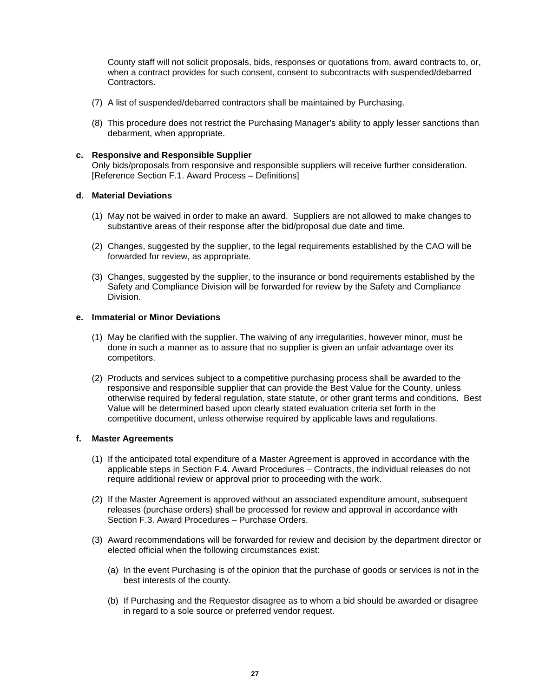County staff will not solicit proposals, bids, responses or quotations from, award contracts to, or, when a contract provides for such consent, consent to subcontracts with suspended/debarred **Contractors** 

- (7) A list of suspended/debarred contractors shall be maintained by Purchasing.
- (8) This procedure does not restrict the Purchasing Manager's ability to apply lesser sanctions than debarment, when appropriate.

### <span id="page-29-0"></span>**c. Responsive and Responsible Supplier**

Only bids/proposals from responsive and responsible suppliers will receive further consideration. [Reference Section F.1. Award Process – Definitions]

#### <span id="page-29-1"></span>**d. Material Deviations**

- (1) May not be waived in order to make an award. Suppliers are not allowed to make changes to substantive areas of their response after the bid/proposal due date and time.
- (2) Changes, suggested by the supplier, to the legal requirements established by the CAO will be forwarded for review, as appropriate.
- (3) Changes, suggested by the supplier, to the insurance or bond requirements established by the Safety and Compliance Division will be forwarded for review by the Safety and Compliance Division.

#### <span id="page-29-2"></span>**e. Immaterial or Minor Deviations**

- (1) May be clarified with the supplier. The waiving of any irregularities, however minor, must be done in such a manner as to assure that no supplier is given an unfair advantage over its competitors.
- (2) Products and services subject to a competitive purchasing process shall be awarded to the responsive and responsible supplier that can provide the Best Value for the County, unless otherwise required by federal regulation, state statute, or other grant terms and conditions. Best Value will be determined based upon clearly stated evaluation criteria set forth in the competitive document, unless otherwise required by applicable laws and regulations.

## <span id="page-29-3"></span>**f. Master Agreements**

- (1) If the anticipated total expenditure of a Master Agreement is approved in accordance with the applicable steps in Section F.4. Award Procedures – Contracts, the individual releases do not require additional review or approval prior to proceeding with the work.
- (2) If the Master Agreement is approved without an associated expenditure amount, subsequent releases (purchase orders) shall be processed for review and approval in accordance with Section F.3. Award Procedures – Purchase Orders.
- (3) Award recommendations will be forwarded for review and decision by the department director or elected official when the following circumstances exist:
	- (a) In the event Purchasing is of the opinion that the purchase of goods or services is not in the best interests of the county.
	- (b) If Purchasing and the Requestor disagree as to whom a bid should be awarded or disagree in regard to a sole source or preferred vendor request.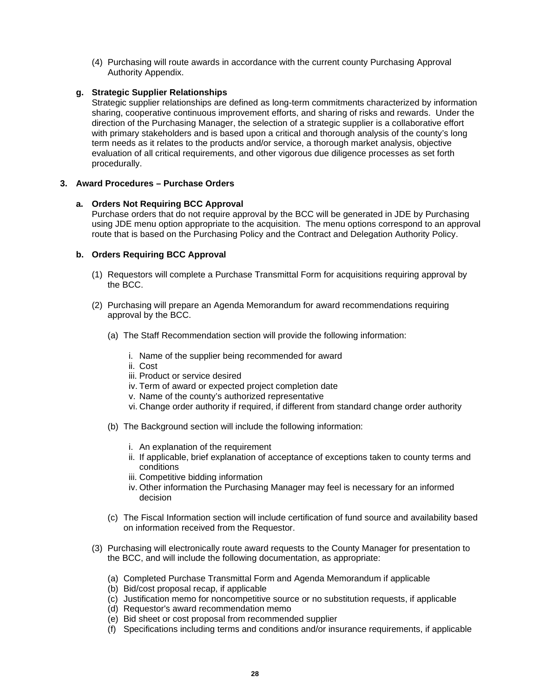(4) Purchasing will route awards in accordance with the current county Purchasing Approval Authority Appendix.

## <span id="page-30-0"></span>**g. Strategic Supplier Relationships**

Strategic supplier relationships are defined as long-term commitments characterized by information sharing, cooperative continuous improvement efforts, and sharing of risks and rewards. Under the direction of the Purchasing Manager, the selection of a strategic supplier is a collaborative effort with primary stakeholders and is based upon a critical and thorough analysis of the county's long term needs as it relates to the products and/or service, a thorough market analysis, objective evaluation of all critical requirements, and other vigorous due diligence processes as set forth procedurally.

## <span id="page-30-2"></span><span id="page-30-1"></span>**3. Award Procedures – Purchase Orders**

## **a. Orders Not Requiring BCC Approval**

Purchase orders that do not require approval by the BCC will be generated in JDE by Purchasing using JDE menu option appropriate to the acquisition. The menu options correspond to an approval route that is based on the Purchasing Policy and the Contract and Delegation Authority Policy.

## <span id="page-30-3"></span>**b. Orders Requiring BCC Approval**

- (1) Requestors will complete a Purchase Transmittal Form for acquisitions requiring approval by the BCC.
- (2) Purchasing will prepare an Agenda Memorandum for award recommendations requiring approval by the BCC.
	- (a) The Staff Recommendation section will provide the following information:
		- i. Name of the supplier being recommended for award
		- ii. Cost
		- iii. Product or service desired
		- iv. Term of award or expected project completion date
		- v. Name of the county's authorized representative
		- vi. Change order authority if required, if different from standard change order authority
	- (b) The Background section will include the following information:
		- i. An explanation of the requirement
		- ii. If applicable, brief explanation of acceptance of exceptions taken to county terms and conditions
		- iii. Competitive bidding information
		- iv. Other information the Purchasing Manager may feel is necessary for an informed decision
	- (c) The Fiscal Information section will include certification of fund source and availability based on information received from the Requestor.
- (3) Purchasing will electronically route award requests to the County Manager for presentation to the BCC, and will include the following documentation, as appropriate:
	- (a) Completed Purchase Transmittal Form and Agenda Memorandum if applicable
	- (b) Bid/cost proposal recap, if applicable
	- (c) Justification memo for noncompetitive source or no substitution requests, if applicable
	- (d) Requestor's award recommendation memo
	- (e) Bid sheet or cost proposal from recommended supplier
	- (f) Specifications including terms and conditions and/or insurance requirements, if applicable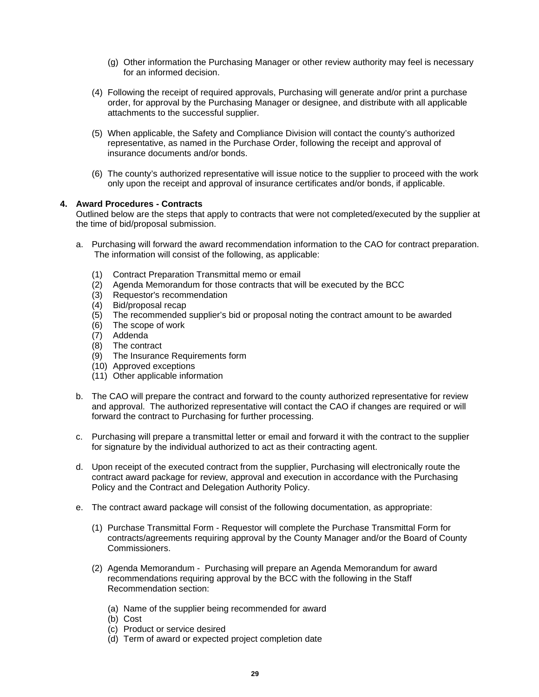- (g) Other information the Purchasing Manager or other review authority may feel is necessary for an informed decision.
- (4) Following the receipt of required approvals, Purchasing will generate and/or print a purchase order, for approval by the Purchasing Manager or designee, and distribute with all applicable attachments to the successful supplier.
- (5) When applicable, the Safety and Compliance Division will contact the county's authorized representative, as named in the Purchase Order, following the receipt and approval of insurance documents and/or bonds.
- (6) The county's authorized representative will issue notice to the supplier to proceed with the work only upon the receipt and approval of insurance certificates and/or bonds, if applicable.

## <span id="page-31-0"></span>**4. Award Procedures - Contracts**

Outlined below are the steps that apply to contracts that were not completed/executed by the supplier at the time of bid/proposal submission.

- a. Purchasing will forward the award recommendation information to the CAO for contract preparation. The information will consist of the following, as applicable:
	- (1) Contract Preparation Transmittal memo or email
	- (2) Agenda Memorandum for those contracts that will be executed by the BCC
	- (3) Requestor's recommendation
	- (4) Bid/proposal recap
	- $(5)$  The recommended supplier's bid or proposal noting the contract amount to be awarded
	- (6) The scope of work
	- (7) Addenda
	- (8) The contract
	- (9) The Insurance Requirements form
	- (10) Approved exceptions
	- (11) Other applicable information
- b. The CAO will prepare the contract and forward to the county authorized representative for review and approval. The authorized representative will contact the CAO if changes are required or will forward the contract to Purchasing for further processing.
- c. Purchasing will prepare a transmittal letter or email and forward it with the contract to the supplier for signature by the individual authorized to act as their contracting agent.
- d. Upon receipt of the executed contract from the supplier, Purchasing will electronically route the contract award package for review, approval and execution in accordance with the Purchasing Policy and the Contract and Delegation Authority Policy.
- e. The contract award package will consist of the following documentation, as appropriate:
	- (1) Purchase Transmittal Form Requestor will complete the Purchase Transmittal Form for contracts/agreements requiring approval by the County Manager and/or the Board of County Commissioners.
	- (2) Agenda Memorandum Purchasing will prepare an Agenda Memorandum for award recommendations requiring approval by the BCC with the following in the Staff Recommendation section:
		- (a) Name of the supplier being recommended for award
		- (b) Cost
		- (c) Product or service desired
		- (d) Term of award or expected project completion date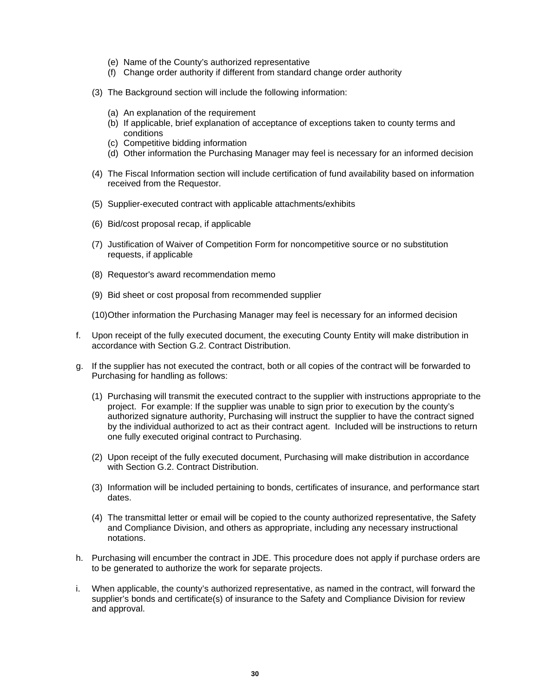- (e) Name of the County's authorized representative
- (f) Change order authority if different from standard change order authority
- (3) The Background section will include the following information:
	- (a) An explanation of the requirement
	- (b) If applicable, brief explanation of acceptance of exceptions taken to county terms and conditions
	- (c) Competitive bidding information
	- (d) Other information the Purchasing Manager may feel is necessary for an informed decision
- (4) The Fiscal Information section will include certification of fund availability based on information received from the Requestor.
- (5) Supplier-executed contract with applicable attachments/exhibits
- (6) Bid/cost proposal recap, if applicable
- (7) Justification of Waiver of Competition Form for noncompetitive source or no substitution requests, if applicable
- (8) Requestor's award recommendation memo
- (9) Bid sheet or cost proposal from recommended supplier
- (10)Other information the Purchasing Manager may feel is necessary for an informed decision
- f. Upon receipt of the fully executed document, the executing County Entity will make distribution in accordance with Section G.2. Contract Distribution.
- g. If the supplier has not executed the contract, both or all copies of the contract will be forwarded to Purchasing for handling as follows:
	- (1) Purchasing will transmit the executed contract to the supplier with instructions appropriate to the project. For example: If the supplier was unable to sign prior to execution by the county's authorized signature authority, Purchasing will instruct the supplier to have the contract signed by the individual authorized to act as their contract agent. Included will be instructions to return one fully executed original contract to Purchasing.
	- (2) Upon receipt of the fully executed document, Purchasing will make distribution in accordance with Section G.2. Contract Distribution.
	- (3) Information will be included pertaining to bonds, certificates of insurance, and performance start dates.
	- (4) The transmittal letter or email will be copied to the county authorized representative, the Safety and Compliance Division, and others as appropriate, including any necessary instructional notations.
- h. Purchasing will encumber the contract in JDE. This procedure does not apply if purchase orders are to be generated to authorize the work for separate projects.
- i. When applicable, the county's authorized representative, as named in the contract, will forward the supplier's bonds and certificate(s) of insurance to the Safety and Compliance Division for review and approval.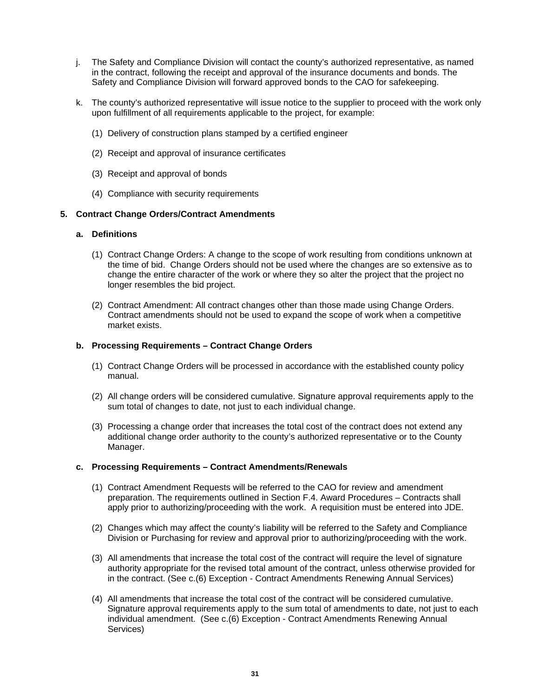- j. The Safety and Compliance Division will contact the county's authorized representative, as named in the contract, following the receipt and approval of the insurance documents and bonds. The Safety and Compliance Division will forward approved bonds to the CAO for safekeeping.
- k. The county's authorized representative will issue notice to the supplier to proceed with the work only upon fulfillment of all requirements applicable to the project, for example:
	- (1) Delivery of construction plans stamped by a certified engineer
	- (2) Receipt and approval of insurance certificates
	- (3) Receipt and approval of bonds
	- (4) Compliance with security requirements

#### <span id="page-33-1"></span><span id="page-33-0"></span>**5. Contract Change Orders/Contract Amendments**

#### **a. Definitions**

- (1) Contract Change Orders: A change to the scope of work resulting from conditions unknown at the time of bid. Change Orders should not be used where the changes are so extensive as to change the entire character of the work or where they so alter the project that the project no longer resembles the bid project.
- (2) Contract Amendment: All contract changes other than those made using Change Orders. Contract amendments should not be used to expand the scope of work when a competitive market exists.

#### <span id="page-33-2"></span>**b. Processing Requirements – Contract Change Orders**

- (1) Contract Change Orders will be processed in accordance with the established county policy manual.
- (2) All change orders will be considered cumulative. Signature approval requirements apply to the sum total of changes to date, not just to each individual change.
- (3) Processing a change order that increases the total cost of the contract does not extend any additional change order authority to the county's authorized representative or to the County Manager.

#### <span id="page-33-3"></span>**c. Processing Requirements – Contract Amendments/Renewals**

- (1) Contract Amendment Requests will be referred to the CAO for review and amendment preparation. The requirements outlined in Section F.4. Award Procedures – Contracts shall apply prior to authorizing/proceeding with the work. A requisition must be entered into JDE.
- (2) Changes which may affect the county's liability will be referred to the Safety and Compliance Division or Purchasing for review and approval prior to authorizing/proceeding with the work.
- (3) All amendments that increase the total cost of the contract will require the level of signature authority appropriate for the revised total amount of the contract, unless otherwise provided for in the contract. (See c.(6) Exception - Contract Amendments Renewing Annual Services)
- (4) All amendments that increase the total cost of the contract will be considered cumulative. Signature approval requirements apply to the sum total of amendments to date, not just to each individual amendment. (See c.(6) Exception - Contract Amendments Renewing Annual Services)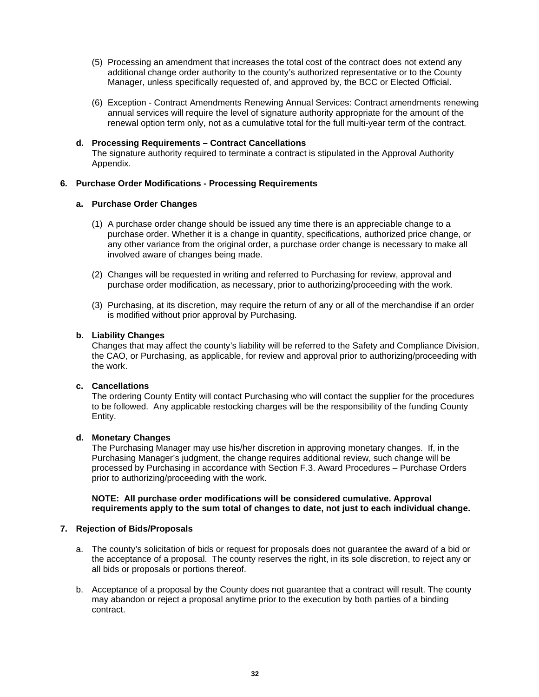- (5) Processing an amendment that increases the total cost of the contract does not extend any additional change order authority to the county's authorized representative or to the County Manager, unless specifically requested of, and approved by, the BCC or Elected Official.
- (6) Exception Contract Amendments Renewing Annual Services: Contract amendments renewing annual services will require the level of signature authority appropriate for the amount of the renewal option term only, not as a cumulative total for the full multi-year term of the contract.
- <span id="page-34-0"></span>**d. Processing Requirements – Contract Cancellations** The signature authority required to terminate a contract is stipulated in the Approval Authority Appendix.

## <span id="page-34-2"></span><span id="page-34-1"></span>**6. Purchase Order Modifications - Processing Requirements**

## **a. Purchase Order Changes**

- (1) A purchase order change should be issued any time there is an appreciable change to a purchase order. Whether it is a change in quantity, specifications, authorized price change, or any other variance from the original order, a purchase order change is necessary to make all involved aware of changes being made.
- (2) Changes will be requested in writing and referred to Purchasing for review, approval and purchase order modification, as necessary, prior to authorizing/proceeding with the work.
- (3) Purchasing, at its discretion, may require the return of any or all of the merchandise if an order is modified without prior approval by Purchasing.

## <span id="page-34-3"></span>**b. Liability Changes**

Changes that may affect the county's liability will be referred to the Safety and Compliance Division, the CAO, or Purchasing, as applicable, for review and approval prior to authorizing/proceeding with the work.

## <span id="page-34-4"></span>**c. Cancellations**

The ordering County Entity will contact Purchasing who will contact the supplier for the procedures to be followed. Any applicable restocking charges will be the responsibility of the funding County Entity.

## <span id="page-34-5"></span>**d. Monetary Changes**

The Purchasing Manager may use his/her discretion in approving monetary changes. If, in the Purchasing Manager's judgment, the change requires additional review, such change will be processed by Purchasing in accordance with Section F.3. Award Procedures – Purchase Orders prior to authorizing/proceeding with the work.

**NOTE: All purchase order modifications will be considered cumulative. Approval requirements apply to the sum total of changes to date, not just to each individual change.**

## <span id="page-34-6"></span>**7. Rejection of Bids/Proposals**

- a. The county's solicitation of bids or request for proposals does not guarantee the award of a bid or the acceptance of a proposal. The county reserves the right, in its sole discretion, to reject any or all bids or proposals or portions thereof.
- b. Acceptance of a proposal by the County does not guarantee that a contract will result. The county may abandon or reject a proposal anytime prior to the execution by both parties of a binding contract.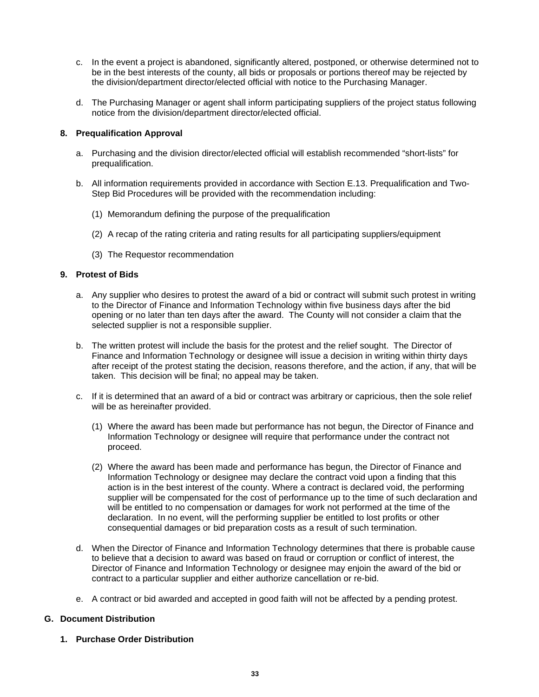- c. In the event a project is abandoned, significantly altered, postponed, or otherwise determined not to be in the best interests of the county, all bids or proposals or portions thereof may be rejected by the division/department director/elected official with notice to the Purchasing Manager.
- d. The Purchasing Manager or agent shall inform participating suppliers of the project status following notice from the division/department director/elected official.

## <span id="page-35-0"></span>**8. Prequalification Approval**

- a. Purchasing and the division director/elected official will establish recommended "short-lists" for prequalification.
- b. All information requirements provided in accordance with Section E.13. Prequalification and Two-Step Bid Procedures will be provided with the recommendation including:
	- (1) Memorandum defining the purpose of the prequalification
	- (2) A recap of the rating criteria and rating results for all participating suppliers/equipment
	- (3) The Requestor recommendation

## <span id="page-35-1"></span>**9. Protest of Bids**

- a. Any supplier who desires to protest the award of a bid or contract will submit such protest in writing to the Director of Finance and Information Technology within five business days after the bid opening or no later than ten days after the award. The County will not consider a claim that the selected supplier is not a responsible supplier.
- b. The written protest will include the basis for the protest and the relief sought. The Director of Finance and Information Technology or designee will issue a decision in writing within thirty days after receipt of the protest stating the decision, reasons therefore, and the action, if any, that will be taken. This decision will be final; no appeal may be taken.
- c. If it is determined that an award of a bid or contract was arbitrary or capricious, then the sole relief will be as hereinafter provided.
	- (1) Where the award has been made but performance has not begun, the Director of Finance and Information Technology or designee will require that performance under the contract not proceed.
	- (2) Where the award has been made and performance has begun, the Director of Finance and Information Technology or designee may declare the contract void upon a finding that this action is in the best interest of the county. Where a contract is declared void, the performing supplier will be compensated for the cost of performance up to the time of such declaration and will be entitled to no compensation or damages for work not performed at the time of the declaration. In no event, will the performing supplier be entitled to lost profits or other consequential damages or bid preparation costs as a result of such termination.
- d. When the Director of Finance and Information Technology determines that there is probable cause to believe that a decision to award was based on fraud or corruption or conflict of interest, the Director of Finance and Information Technology or designee may enjoin the award of the bid or contract to a particular supplier and either authorize cancellation or re-bid.
- e. A contract or bid awarded and accepted in good faith will not be affected by a pending protest.

## <span id="page-35-2"></span>**G. Document Distribution**

<span id="page-35-3"></span>**1. Purchase Order Distribution**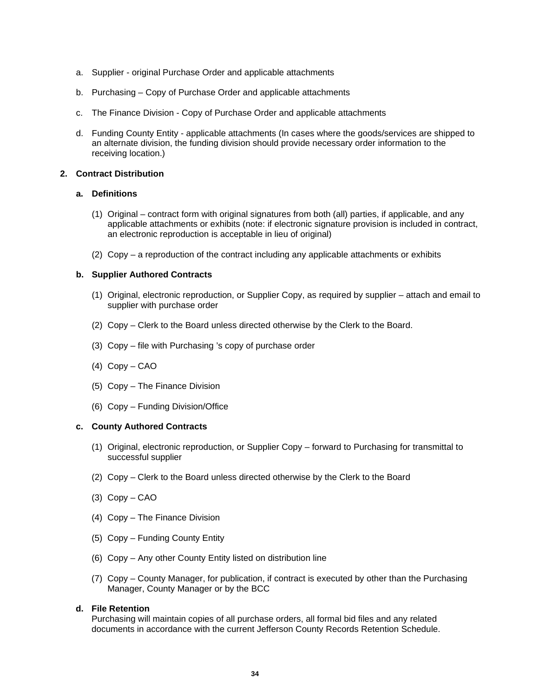- a. Supplier original Purchase Order and applicable attachments
- b. Purchasing Copy of Purchase Order and applicable attachments
- c. The Finance Division Copy of Purchase Order and applicable attachments
- d. Funding County Entity applicable attachments (In cases where the goods/services are shipped to an alternate division, the funding division should provide necessary order information to the receiving location.)

#### <span id="page-36-1"></span><span id="page-36-0"></span>**2. Contract Distribution**

## **a. Definitions**

- (1) Original contract form with original signatures from both (all) parties, if applicable, and any applicable attachments or exhibits (note: if electronic signature provision is included in contract, an electronic reproduction is acceptable in lieu of original)
- (2) Copy a reproduction of the contract including any applicable attachments or exhibits

### <span id="page-36-2"></span>**b. Supplier Authored Contracts**

- (1) Original, electronic reproduction, or Supplier Copy, as required by supplier attach and email to supplier with purchase order
- (2) Copy Clerk to the Board unless directed otherwise by the Clerk to the Board.
- (3) Copy file with Purchasing 's copy of purchase order
- (4) Copy CAO
- (5) Copy The Finance Division
- (6) Copy Funding Division/Office

#### <span id="page-36-3"></span>**c. County Authored Contracts**

- (1) Original, electronic reproduction, or Supplier Copy forward to Purchasing for transmittal to successful supplier
- (2) Copy Clerk to the Board unless directed otherwise by the Clerk to the Board
- (3) Copy CAO
- (4) Copy The Finance Division
- (5) Copy Funding County Entity
- (6) Copy Any other County Entity listed on distribution line
- (7) Copy County Manager, for publication, if contract is executed by other than the Purchasing Manager, County Manager or by the BCC

#### <span id="page-36-4"></span>**d. File Retention**

Purchasing will maintain copies of all purchase orders, all formal bid files and any related documents in accordance with the current Jefferson County Records Retention Schedule.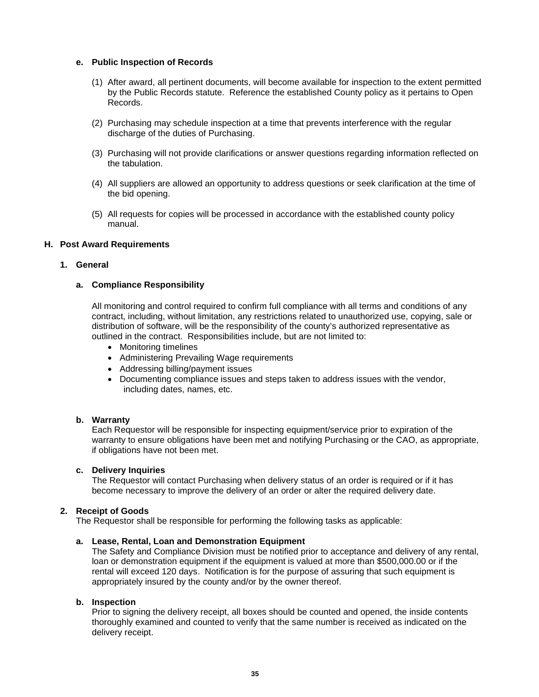#### <span id="page-37-0"></span>**e. Public Inspection of Records**

- (1) After award, all pertinent documents, will become available for inspection to the extent permitted by the Public Records statute. Reference the established County policy as it pertains to Open Records.
- (2) Purchasing may schedule inspection at a time that prevents interference with the regular discharge of the duties of Purchasing.
- (3) Purchasing will not provide clarifications or answer questions regarding information reflected on the tabulation.
- (4) All suppliers are allowed an opportunity to address questions or seek clarification at the time of the bid opening.
- (5) All requests for copies will be processed in accordance with the established county policy manual.

#### <span id="page-37-1"></span>**H. Post Award Requirements**

#### <span id="page-37-3"></span><span id="page-37-2"></span>**1. General**

#### **a. Compliance Responsibility**

All monitoring and control required to confirm full compliance with all terms and conditions of any contract, including, without limitation, any restrictions related to unauthorized use, copying, sale or distribution of software, will be the responsibility of the county's authorized representative as outlined in the contract. Responsibilities include, but are not limited to:

- Monitoring timelines
- Administering Prevailing Wage requirements
- Addressing billing/payment issues
- Documenting compliance issues and steps taken to address issues with the vendor, including dates, names, etc.

### <span id="page-37-4"></span>**b. Warranty**

Each Requestor will be responsible for inspecting equipment/service prior to expiration of the warranty to ensure obligations have been met and notifying Purchasing or the CAO, as appropriate, if obligations have not been met.

## <span id="page-37-5"></span>**c. Delivery Inquiries**

The Requestor will contact Purchasing when delivery status of an order is required or if it has become necessary to improve the delivery of an order or alter the required delivery date.

## <span id="page-37-6"></span>**2. Receipt of Goods**

The Requestor shall be responsible for performing the following tasks as applicable:

#### <span id="page-37-7"></span>**a. Lease, Rental, Loan and Demonstration Equipment**

The Safety and Compliance Division must be notified prior to acceptance and delivery of any rental, loan or demonstration equipment if the equipment is valued at more than \$500,000.00 or if the rental will exceed 120 days. Notification is for the purpose of assuring that such equipment is appropriately insured by the county and/or by the owner thereof.

#### <span id="page-37-8"></span>**b. Inspection**

Prior to signing the delivery receipt, all boxes should be counted and opened, the inside contents thoroughly examined and counted to verify that the same number is received as indicated on the delivery receipt.